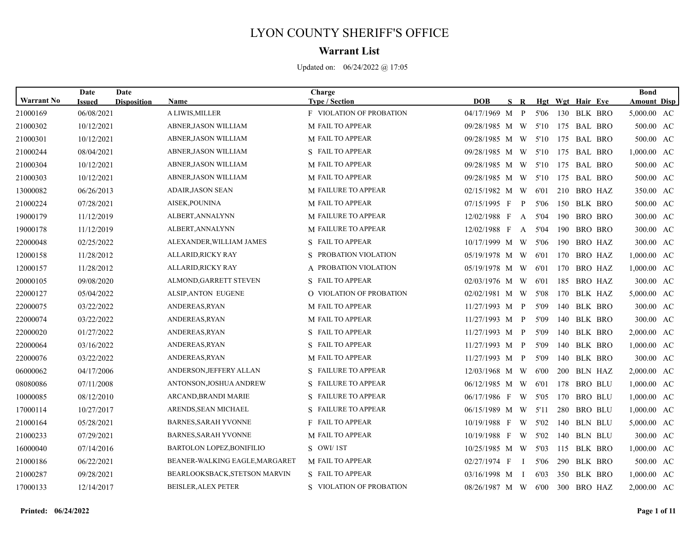## LYON COUNTY SHERIFF'S OFFICE

## **Warrant List**

Updated on: 06/24/2022 @ 17:05

|                   | Date          | Date               |                                  | Charge                          |                     |              |              |      |                  |                |             | <b>Bond</b>        |  |
|-------------------|---------------|--------------------|----------------------------------|---------------------------------|---------------------|--------------|--------------|------|------------------|----------------|-------------|--------------------|--|
| <b>Warrant No</b> | <b>Issued</b> | <b>Disposition</b> | Name                             | <b>Type / Section</b>           | <b>DOB</b>          | $\mathbf{s}$ | R            |      | Hgt Wgt Hair Eye |                |             | <b>Amount Disp</b> |  |
| 21000169          | 06/08/2021    |                    | A LIWIS, MILLER                  | <b>F VIOLATION OF PROBATION</b> | 04/17/1969 M        |              | $\mathbf{P}$ | 5'06 |                  |                | 130 BLK BRO | 5,000.00 AC        |  |
| 21000302          | 10/12/2021    |                    | ABNER, JASON WILLIAM             | M FAIL TO APPEAR                | 09/28/1985 M W      |              |              | 5'10 |                  |                | 175 BAL BRO | 500.00 AC          |  |
| 21000301          | 10/12/2021    |                    | ABNER, JASON WILLIAM             | M FAIL TO APPEAR                | 09/28/1985 M W      |              |              | 5'10 |                  |                | 175 BAL BRO | 500.00 AC          |  |
| 21000244          | 08/04/2021    |                    | ABNER, JASON WILLIAM             | S FAIL TO APPEAR                | 09/28/1985 M W      |              |              | 5'10 |                  |                | 175 BAL BRO | 1,000.00 AC        |  |
| 21000304          | 10/12/2021    |                    | ABNER, JASON WILLIAM             | <b>M FAIL TO APPEAR</b>         | 09/28/1985 M W 5'10 |              |              |      |                  |                | 175 BAL BRO | 500.00 AC          |  |
| 21000303          | 10/12/2021    |                    | ABNER, JASON WILLIAM             | M FAIL TO APPEAR                | 09/28/1985 M W      |              |              | 5'10 |                  |                | 175 BAL BRO | 500.00 AC          |  |
| 13000082          | 06/26/2013    |                    | <b>ADAIR, JASON SEAN</b>         | M FAILURE TO APPEAR             | 02/15/1982 M W      |              |              | 6'01 |                  |                | 210 BRO HAZ | 350.00 AC          |  |
| 21000224          | 07/28/2021    |                    | AISEK, POUNINA                   | M FAIL TO APPEAR                | 07/15/1995 F        |              | P            | 5'06 |                  |                | 150 BLK BRO | 500.00 AC          |  |
| 19000179          | 11/12/2019    |                    | ALBERT, ANNALYNN                 | <b>M FAILURE TO APPEAR</b>      | 12/02/1988 F        |              | A            | 5'04 |                  |                | 190 BRO BRO | 300.00 AC          |  |
| 19000178          | 11/12/2019    |                    | ALBERT, ANNALYNN                 | M FAILURE TO APPEAR             | 12/02/1988 F        |              | $\mathbf{A}$ | 5'04 |                  |                | 190 BRO BRO | 300.00 AC          |  |
| 22000048          | 02/25/2022    |                    | ALEXANDER, WILLIAM JAMES         | S FAIL TO APPEAR                | 10/17/1999 M W      |              |              | 5'06 | 190              |                | BRO HAZ     | 300.00 AC          |  |
| 12000158          | 11/28/2012    |                    | ALLARID,RICKY RAY                | S PROBATION VIOLATION           | 05/19/1978 M W      |              |              | 6'01 | 170              |                | BRO HAZ     | 1,000.00 AC        |  |
| 12000157          | 11/28/2012    |                    | ALLARID, RICKY RAY               | A PROBATION VIOLATION           | 05/19/1978 M W      |              |              | 6'01 |                  |                | 170 BRO HAZ | 1,000.00 AC        |  |
| 20000105          | 09/08/2020    |                    | ALMOND, GARRETT STEVEN           | S FAIL TO APPEAR                | $02/03/1976$ M W    |              |              | 6'01 | 185              |                | BRO HAZ     | 300.00 AC          |  |
| 22000127          | 05/04/2022    |                    | <b>ALSIP, ANTON EUGENE</b>       | <b>Q VIOLATION OF PROBATION</b> | 02/02/1981 M W      |              |              | 5'08 |                  |                | 170 BLK HAZ | 5,000.00 AC        |  |
| 22000075          | 03/22/2022    |                    | ANDEREAS, RYAN                   | M FAIL TO APPEAR                | 11/27/1993 M P      |              |              | 5'09 |                  |                | 140 BLK BRO | 300.00 AC          |  |
| 22000074          | 03/22/2022    |                    | ANDEREAS, RYAN                   | M FAIL TO APPEAR                | 11/27/1993 M P      |              |              | 5'09 | 140              |                | BLK BRO     | 300.00 AC          |  |
| 22000020          | 01/27/2022    |                    | ANDEREAS, RYAN                   | S FAIL TO APPEAR                | 11/27/1993 M P      |              |              | 5'09 |                  |                | 140 BLK BRO | 2,000.00 AC        |  |
| 22000064          | 03/16/2022    |                    | ANDEREAS, RYAN                   | S FAIL TO APPEAR                | $11/27/1993$ M P    |              |              | 5'09 | 140              |                | BLK BRO     | 1,000.00 AC        |  |
| 22000076          | 03/22/2022    |                    | ANDEREAS, RYAN                   | M FAIL TO APPEAR                | 11/27/1993 M        |              | $\mathbf{P}$ | 5'09 | 140              |                | BLK BRO     | 300.00 AC          |  |
| 06000062          | 04/17/2006    |                    | ANDERSON, JEFFERY ALLAN          | S FAILURE TO APPEAR             | $12/03/1968$ M W    |              |              | 6'00 |                  |                | 200 BLN HAZ | 2,000.00 AC        |  |
| 08080086          | 07/11/2008    |                    | ANTONSON, JOSHUA ANDREW          | S FAILURE TO APPEAR             | 06/12/1985 M W      |              |              | 6'01 | 178              | <b>BRO BLU</b> |             | $1,000.00$ AC      |  |
| 10000085          | 08/12/2010    |                    | ARCAND, BRANDI MARIE             | S FAILURE TO APPEAR             | 06/17/1986 F        |              | W            | 5'05 | 170              | BRO BLU        |             | $1,000.00$ AC      |  |
| 17000114          | 10/27/2017    |                    | ARENDS, SEAN MICHAEL             | S FAILURE TO APPEAR             | 06/15/1989 M W      |              |              | 5'11 |                  | 280 BRO BLU    |             | 1,000.00 AC        |  |
| 21000164          | 05/28/2021    |                    | <b>BARNES, SARAH YVONNE</b>      | F FAIL TO APPEAR                | 10/19/1988 F        |              | W            | 5'02 |                  | 140 BLN BLU    |             | 5,000.00 AC        |  |
| 21000233          | 07/29/2021    |                    | <b>BARNES, SARAH YVONNE</b>      | M FAIL TO APPEAR                | 10/19/1988 F        |              | - W          | 5'02 |                  | 140 BLN BLU    |             | 300.00 AC          |  |
| 16000040          | 07/14/2016    |                    | <b>BARTOLON LOPEZ, BONIFILIO</b> | S OWI/1ST                       | 10/25/1985 M W      |              |              | 5'03 |                  |                | 115 BLK BRO | 1,000.00 AC        |  |
| 21000186          | 06/22/2021    |                    | BEANER-WALKING EAGLE, MARGARET   | M FAIL TO APPEAR                | $02/27/1974$ F      |              | $\mathbf{I}$ | 5'06 | 290              |                | BLK BRO     | 500.00 AC          |  |
| 21000287          | 09/28/2021    |                    | BEARLOOKSBACK, STETSON MARVIN    | S FAIL TO APPEAR                | 03/16/1998 M I      |              |              | 6'03 |                  |                | 350 BLK BRO | 1,000.00 AC        |  |
| 17000133          | 12/14/2017    |                    | <b>BEISLER, ALEX PETER</b>       | S VIOLATION OF PROBATION        | 08/26/1987 M W      |              |              | 6'00 |                  |                | 300 BRO HAZ | 2,000.00 AC        |  |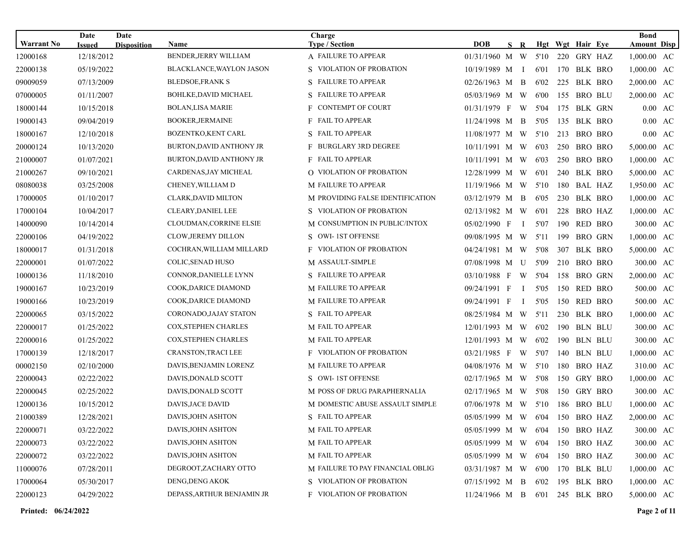| <b>Warrant No</b> | Date<br><b>Issued</b> | Date<br><b>Disposition</b> | <b>Name</b>                    | Charge<br><b>Type / Section</b>  | <b>DOB</b>                      | S R            |      |     | Hgt Wgt Hair Eye | <b>Bond</b><br><b>Amount Disp</b> |
|-------------------|-----------------------|----------------------------|--------------------------------|----------------------------------|---------------------------------|----------------|------|-----|------------------|-----------------------------------|
| 12000168          | 12/18/2012            |                            | <b>BENDER, JERRY WILLIAM</b>   | A FAILURE TO APPEAR              | 01/31/1960 M W                  |                | 5'10 |     | 220 GRY HAZ      | 1,000.00 AC                       |
| 22000138          | 05/19/2022            |                            | BLACKLANCE, WAYLON JASON       | S VIOLATION OF PROBATION         | 10/19/1989 M I                  |                | 6'01 |     | 170 BLK BRO      | 1,000.00 AC                       |
| 09009059          | 07/13/2009            |                            | <b>BLEDSOE, FRANK S</b>        | S FAILURE TO APPEAR              | $02/26/1963$ M B                |                | 6'02 | 225 | BLK BRO          | 2,000.00 AC                       |
| 07000005          | 01/11/2007            |                            | BOHLKE, DAVID MICHAEL          | S FAILURE TO APPEAR              | 05/03/1969 M W                  |                | 6'00 | 155 | <b>BRO BLU</b>   | 2,000.00 AC                       |
| 18000144          | 10/15/2018            |                            | <b>BOLAN,LISA MARIE</b>        | F CONTEMPT OF COURT              | $01/31/1979$ F W                |                | 5'04 | 175 | BLK GRN          | $0.00 \text{ AC}$                 |
| 19000143          | 09/04/2019            |                            | <b>BOOKER, JERMAINE</b>        | <b>F</b> FAIL TO APPEAR          | 11/24/1998 M                    | $\overline{B}$ | 5'05 | 135 | BLK BRO          | 0.00 AC                           |
| 18000167          | 12/10/2018            |                            | <b>BOZENTKO,KENT CARL</b>      | S FAIL TO APPEAR                 | 11/08/1977 M W                  |                | 5'10 | 213 | BRO BRO          | $0.00 \text{ AC}$                 |
| 20000124          | 10/13/2020            |                            | BURTON, DAVID ANTHONY JR       | F BURGLARY 3RD DEGREE            | 10/11/1991 M W                  |                | 6'03 | 250 | BRO BRO          | 5,000.00 AC                       |
| 21000007          | 01/07/2021            |                            | BURTON, DAVID ANTHONY JR       | <b>F</b> FAIL TO APPEAR          | 10/11/1991 M W                  |                | 6'03 | 250 | BRO BRO          | 1,000.00 AC                       |
| 21000267          | 09/10/2021            |                            | CARDENAS, JAY MICHEAL          | <b>Q VIOLATION OF PROBATION</b>  | 12/28/1999 M W                  |                | 6'01 | 240 | BLK BRO          | 5,000.00 AC                       |
| 08080038          | 03/25/2008            |                            | CHENEY, WILLIAM D              | <b>M FAILURE TO APPEAR</b>       | 11/19/1966 M W                  |                | 5'10 |     | 180 BAL HAZ      | 1,950.00 AC                       |
| 17000005          | 01/10/2017            |                            | CLARK, DAVID MILTON            | M PROVIDING FALSE IDENTIFICATION | 03/12/1979 M B                  |                | 6'05 | 230 | BLK BRO          | 1,000.00 AC                       |
| 17000104          | 10/04/2017            |                            | <b>CLEARY, DANIEL LEE</b>      | S VIOLATION OF PROBATION         | 02/13/1982 M W                  |                | 6'01 | 228 | BRO HAZ          | 1,000.00 AC                       |
| 14000090          | 10/14/2014            |                            | <b>CLOUDMAN, CORRINE ELSIE</b> | M CONSUMPTION IN PUBLIC/INTOX    | $05/02/1990$ F                  | — Г            | 5'07 | 190 | RED BRO          | 300.00 AC                         |
| 22000106          | 04/19/2022            |                            | <b>CLOW, JEREMY DILLON</b>     | S OWI-1ST OFFENSE                | 09/08/1995 M W                  |                | 5'11 | 199 | <b>BRO GRN</b>   | 1,000.00 AC                       |
| 18000017          | 01/31/2018            |                            | COCHRAN, WILLIAM MILLARD       | <b>F</b> VIOLATION OF PROBATION  | 04/24/1981 M W                  |                | 5'08 | 307 | BLK BRO          | 5,000.00 AC                       |
| 22000001          | 01/07/2022            |                            | COLIC, SENAD HUSO              | M ASSAULT-SIMPLE                 | 07/08/1998 M U                  |                | 5'09 | 210 | <b>BRO BRO</b>   | 300.00 AC                         |
| 10000136          | 11/18/2010            |                            | CONNOR, DANIELLE LYNN          | S FAILURE TO APPEAR              | 03/10/1988 F W                  |                | 5'04 | 158 | <b>BRO GRN</b>   | 2,000.00 AC                       |
| 19000167          | 10/23/2019            |                            | COOK, DARICE DIAMOND           | <b>M FAILURE TO APPEAR</b>       | 09/24/1991 F                    | $\bf{I}$       | 5'05 | 150 | RED BRO          | 500.00 AC                         |
| 19000166          | 10/23/2019            |                            | COOK, DARICE DIAMOND           | <b>M FAILURE TO APPEAR</b>       | 09/24/1991 F                    | — Г            | 5'05 | 150 | RED BRO          | 500.00 AC                         |
| 22000065          | 03/15/2022            |                            | CORONADO, JAJAY STATON         | S FAIL TO APPEAR                 | 08/25/1984 M W                  |                | 5'11 | 230 | BLK BRO          | 1,000.00 AC                       |
| 22000017          | 01/25/2022            |                            | COX, STEPHEN CHARLES           | M FAIL TO APPEAR                 | 12/01/1993 M W                  |                | 6'02 |     | 190 BLN BLU      | 300.00 AC                         |
| 22000016          | 01/25/2022            |                            | <b>COX, STEPHEN CHARLES</b>    | M FAIL TO APPEAR                 | 12/01/1993 M W                  |                | 6'02 | 190 | BLN BLU          | 300.00 AC                         |
| 17000139          | 12/18/2017            |                            | <b>CRANSTON, TRACI LEE</b>     | <b>F</b> VIOLATION OF PROBATION  | 03/21/1985 F W                  |                | 5'07 | 140 | BLN BLU          | 1,000.00 AC                       |
| 00002150          | 02/10/2000            |                            | DAVIS, BENJAMIN LORENZ         | <b>M FAILURE TO APPEAR</b>       | $04/08/1976$ M W                |                | 5'10 | 180 | BRO HAZ          | 310.00 AC                         |
| 22000043          | 02/22/2022            |                            | DAVIS, DONALD SCOTT            | S OWI-1ST OFFENSE                | 02/17/1965 M W                  |                | 5'08 | 150 | GRY BRO          | 1,000.00 AC                       |
| 22000045          | 02/25/2022            |                            | DAVIS, DONALD SCOTT            | M POSS OF DRUG PARAPHERNALIA     | 02/17/1965 M W                  |                | 5'08 | 150 | GRY BRO          | 300.00 AC                         |
| 12000136          | 10/15/2012            |                            | DAVIS, JACE DAVID              | M DOMESTIC ABUSE ASSAULT SIMPLE  | 07/06/1978 M W 5'10             |                |      |     | 186 BRO BLU      | 1,000.00 AC                       |
| 21000389          | 12/28/2021            |                            | DAVIS, JOHN ASHTON             | S FAIL TO APPEAR                 | 05/05/1999 M W 6'04 150 BRO HAZ |                |      |     |                  | 2,000.00 AC                       |
| 22000071          | 03/22/2022            |                            | DAVIS, JOHN ASHTON             | M FAIL TO APPEAR                 | 05/05/1999 M W                  |                | 6'04 |     | 150 BRO HAZ      | 300.00 AC                         |
| 22000073          | 03/22/2022            |                            | DAVIS, JOHN ASHTON             | M FAIL TO APPEAR                 | 05/05/1999 M W                  |                | 6'04 |     | 150 BRO HAZ      | 300.00 AC                         |
| 22000072          | 03/22/2022            |                            | DAVIS, JOHN ASHTON             | M FAIL TO APPEAR                 | 05/05/1999 M W 6'04             |                |      |     | 150 BRO HAZ      | 300.00 AC                         |
| 11000076          | 07/28/2011            |                            | DEGROOT, ZACHARY OTTO          | M FAILURE TO PAY FINANCIAL OBLIG | 03/31/1987 M W                  |                | 6'00 |     | 170 BLK BLU      | $1,000.00$ AC                     |
| 17000064          | 05/30/2017            |                            | DENG, DENG AKOK                | S VIOLATION OF PROBATION         | 07/15/1992 M B                  |                | 6'02 |     | 195 BLK BRO      | 1,000.00 AC                       |
| 22000123          | 04/29/2022            |                            | DEPASS, ARTHUR BENJAMIN JR     | <b>F</b> VIOLATION OF PROBATION  | 11/24/1966 M B 6'01 245 BLK BRO |                |      |     |                  | 5,000.00 AC                       |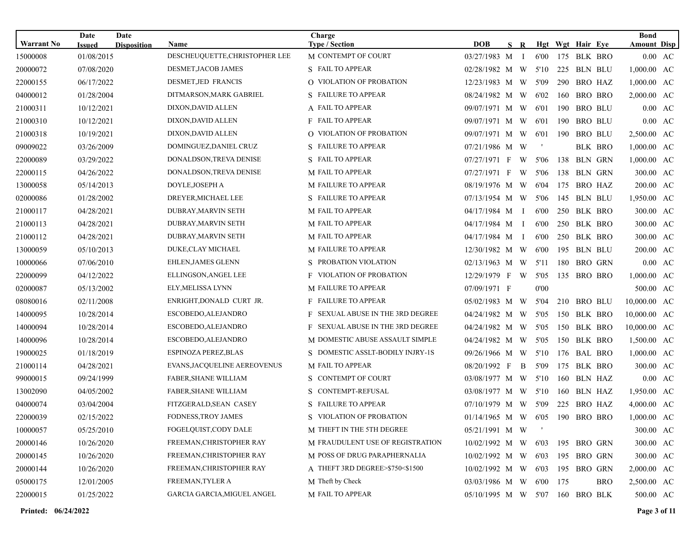| <b>Warrant No</b> | Date                        | Date               |                                               | Charge                                       | <b>DOB</b>                      |     |      |     |                                 |            | <b>Bond</b>                             |    |
|-------------------|-----------------------------|--------------------|-----------------------------------------------|----------------------------------------------|---------------------------------|-----|------|-----|---------------------------------|------------|-----------------------------------------|----|
| 15000008          | <b>Issued</b><br>01/08/2015 | <b>Disposition</b> | <b>Name</b><br>DESCHEUQUETTE, CHRISTOPHER LEE | <b>Type / Section</b><br>M CONTEMPT OF COURT | 03/27/1983 M I                  | S R | 6'00 |     | Hgt Wgt Hair Eye<br>175 BLK BRO |            | <b>Amount Disp</b><br>$0.00 \text{ AC}$ |    |
| 20000072          | 07/08/2020                  |                    | DESMET, JACOB JAMES                           | S FAIL TO APPEAR                             | 02/28/1982 M W                  |     | 5'10 |     | 225 BLN BLU                     |            | 1,000.00 AC                             |    |
|                   |                             |                    | DESMET, JED FRANCIS                           | O VIOLATION OF PROBATION                     |                                 |     |      |     |                                 |            |                                         |    |
| 22000155          | 06/17/2022                  |                    |                                               |                                              | 12/23/1983 M W                  |     | 5'09 | 290 | BRO HAZ                         |            | 1,000.00 AC                             |    |
| 04000012          | 01/28/2004                  |                    | DITMARSON, MARK GABRIEL                       | S FAILURE TO APPEAR                          | 08/24/1982 M W                  |     | 6'02 | 160 | BRO BRO                         |            | 2,000.00 AC                             |    |
| 21000311          | 10/12/2021                  |                    | DIXON, DAVID ALLEN                            | A FAIL TO APPEAR                             | 09/07/1971 M W                  |     | 6'01 | 190 | <b>BRO BLU</b>                  |            | $0.00 \text{ AC}$                       |    |
| 21000310          | 10/12/2021                  |                    | DIXON, DAVID ALLEN                            | <b>F</b> FAIL TO APPEAR                      | 09/07/1971 M W                  |     | 6'01 | 190 | <b>BRO BLU</b>                  |            | 0.00 AC                                 |    |
| 21000318          | 10/19/2021                  |                    | DIXON, DAVID ALLEN                            | O VIOLATION OF PROBATION                     | 09/07/1971 M W                  |     | 6'01 | 190 | <b>BRO BLU</b>                  |            | 2,500.00 AC                             |    |
| 09009022          | 03/26/2009                  |                    | DOMINGUEZ, DANIEL CRUZ                        | S FAILURE TO APPEAR                          | 07/21/1986 M W                  |     | $\,$ |     | <b>BLK BRO</b>                  |            | 1,000.00 AC                             |    |
| 22000089          | 03/29/2022                  |                    | DONALDSON, TREVA DENISE                       | S FAIL TO APPEAR                             | 07/27/1971 F                    | W   | 5'06 | 138 | <b>BLN GRN</b>                  |            | 1,000.00 AC                             |    |
| 22000115          | 04/26/2022                  |                    | DONALDSON, TREVA DENISE                       | M FAIL TO APPEAR                             | 07/27/1971 F                    | W   | 5'06 | 138 | BLN GRN                         |            | 300.00 AC                               |    |
| 13000058          | 05/14/2013                  |                    | DOYLE, JOSEPH A                               | <b>M FAILURE TO APPEAR</b>                   | 08/19/1976 M W                  |     | 6'04 | 175 | BRO HAZ                         |            | 200.00 AC                               |    |
| 02000086          | 01/28/2002                  |                    | DREYER, MICHAEL LEE                           | S FAILURE TO APPEAR                          | 07/13/1954 M W                  |     | 5'06 | 145 | BLN BLU                         |            | 1,950.00 AC                             |    |
| 21000117          | 04/28/2021                  |                    | DUBRAY, MARVIN SETH                           | M FAIL TO APPEAR                             | $04/17/1984$ M I                |     | 6'00 |     | 250 BLK BRO                     |            | 300.00 AC                               |    |
| 21000113          | 04/28/2021                  |                    | <b>DUBRAY, MARVIN SETH</b>                    | M FAIL TO APPEAR                             | 04/17/1984 M I                  |     | 6'00 |     | 250 BLK BRO                     |            | 300.00 AC                               |    |
| 21000112          | 04/28/2021                  |                    | DUBRAY,MARVIN SETH                            | <b>M FAIL TO APPEAR</b>                      | 04/17/1984 M I                  |     | 6'00 |     | 250 BLK BRO                     |            | 300.00 AC                               |    |
| 13000059          | 05/10/2013                  |                    | DUKE,CLAY MICHAEL                             | <b>M FAILURE TO APPEAR</b>                   | 12/30/1982 M W                  |     | 6'00 | 195 | <b>BLN BLU</b>                  |            | 200.00 AC                               |    |
| 10000066          | 07/06/2010                  |                    | EHLEN, JAMES GLENN                            | S PROBATION VIOLATION                        | 02/13/1963 M W                  |     | 5'11 | 180 | BRO GRN                         |            | $0.00 \text{ AC}$                       |    |
| 22000099          | 04/12/2022                  |                    | ELLINGSON, ANGEL LEE                          | <b>F</b> VIOLATION OF PROBATION              | 12/29/1979 F W                  |     | 5'05 | 135 | BRO BRO                         |            | 1,000.00 AC                             |    |
| 02000087          | 05/13/2002                  |                    | ELY, MELISSA LYNN                             | <b>M FAILURE TO APPEAR</b>                   | 07/09/1971 F                    |     | 0'00 |     |                                 |            | 500.00 AC                               |    |
| 08080016          | 02/11/2008                  |                    | ENRIGHT, DONALD CURT JR.                      | <b>F</b> FAILURE TO APPEAR                   | 05/02/1983 M W                  |     | 5'04 |     | 210 BRO BLU                     |            | 10,000.00 AC                            |    |
| 14000095          | 10/28/2014                  |                    | ESCOBEDO, ALEJANDRO                           | F SEXUAL ABUSE IN THE 3RD DEGREE             | 04/24/1982 M W                  |     | 5'05 |     | 150 BLK BRO                     |            | 10,000.00 AC                            |    |
| 14000094          | 10/28/2014                  |                    | ESCOBEDO, ALEJANDRO                           | F SEXUAL ABUSE IN THE 3RD DEGREE             | 04/24/1982 M W                  |     | 5'05 |     | 150 BLK BRO                     |            | 10,000.00 AC                            |    |
| 14000096          | 10/28/2014                  |                    | ESCOBEDO, ALEJANDRO                           | M DOMESTIC ABUSE ASSAULT SIMPLE              | 04/24/1982 M W                  |     | 5'05 |     | 150 BLK BRO                     |            | 1,500.00                                | AC |
| 19000025          | 01/18/2019                  |                    | ESPINOZA PEREZ, BLAS                          | S DOMESTIC ASSLT-BODILY INJRY-1S             | 09/26/1966 M W                  |     | 5'10 |     | 176 BAL BRO                     |            | 1,000.00 AC                             |    |
| 21000114          | 04/28/2021                  |                    | EVANS, JACQUELINE AEREOVENUS                  | M FAIL TO APPEAR                             | 08/20/1992 F                    | B   | 5'09 | 175 | BLK BRO                         |            | 300.00 AC                               |    |
| 99000015          | 09/24/1999                  |                    | <b>FABER, SHANE WILLIAM</b>                   | S CONTEMPT OF COURT                          | 03/08/1977 M W                  |     | 5'10 |     | 160 BLN HAZ                     |            | $0.00 \text{ AC}$                       |    |
| 13002090          | 04/05/2002                  |                    | <b>FABER, SHANE WILLIAM</b>                   | S CONTEMPT-REFUSAL                           | 03/08/1977 M W                  |     | 5'10 | 160 | BLN HAZ                         |            | 1,950.00 AC                             |    |
| 04000074          | 03/04/2004                  |                    | FITZGERALD, SEAN CASEY                        | S FAILURE TO APPEAR                          | 07/10/1979 M W 5'09             |     |      | 225 | BRO HAZ                         |            | 4,000.00 AC                             |    |
| 22000039          | 02/15/2022                  |                    | FODNESS, TROY JAMES                           | S VIOLATION OF PROBATION                     | 01/14/1965 M W 6'05 190 BRO BRO |     |      |     |                                 |            | $1,000.00$ AC                           |    |
| 10000057          | 05/25/2010                  |                    | FOGELQUIST,CODY DALE                          | M THEFT IN THE 5TH DEGREE                    | 05/21/1991 M W                  |     |      |     |                                 |            | 300.00 AC                               |    |
| 20000146          | 10/26/2020                  |                    | FREEMAN, CHRISTOPHER RAY                      | M FRAUDULENT USE OF REGISTRATION             | 10/02/1992 M W 6'03             |     |      |     | 195 BRO GRN                     |            | 300.00 AC                               |    |
| 20000145          | 10/26/2020                  |                    | FREEMAN, CHRISTOPHER RAY                      | M POSS OF DRUG PARAPHERNALIA                 | 10/02/1992 M W 6'03             |     |      |     | 195 BRO GRN                     |            | 300.00 AC                               |    |
| 20000144          | 10/26/2020                  |                    | FREEMAN, CHRISTOPHER RAY                      | A THEFT 3RD DEGREE>\$750<\$1500              | 10/02/1992 M W 6'03             |     |      |     | 195 BRO GRN                     |            | 2,000.00 AC                             |    |
| 05000175          | 12/01/2005                  |                    | FREEMAN, TYLER A                              | M Theft by Check                             | 03/03/1986 M W 6'00             |     |      | 175 |                                 | <b>BRO</b> | 2,500.00 AC                             |    |
| 22000015          | 01/25/2022                  |                    | GARCIA GARCIA, MIGUEL ANGEL                   | M FAIL TO APPEAR                             | 05/10/1995 M W 5'07             |     |      |     | 160 BRO BLK                     |            | 500.00 AC                               |    |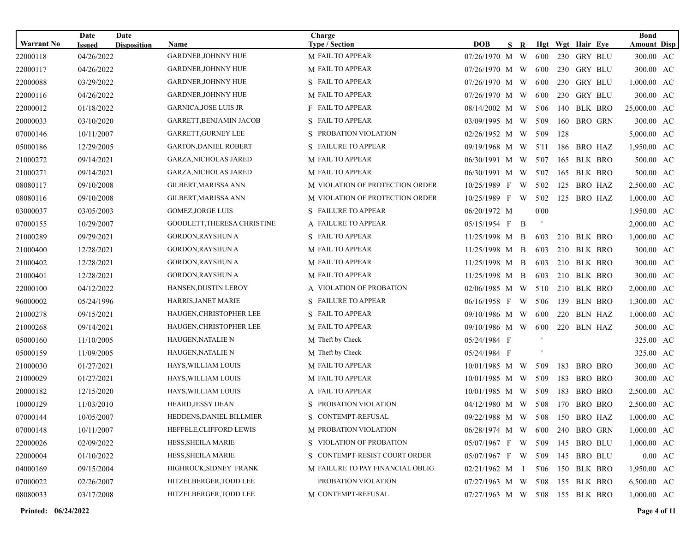|                   | Date          | Date               |                              | Charge                           |                                 |    |   |      |     |                  | <b>Bond</b>        |  |
|-------------------|---------------|--------------------|------------------------------|----------------------------------|---------------------------------|----|---|------|-----|------------------|--------------------|--|
| <b>Warrant No</b> | <b>Issued</b> | <b>Disposition</b> | <b>Name</b>                  | <b>Type / Section</b>            | DOB                             | S. | R |      |     | Hgt Wgt Hair Eye | <b>Amount Disp</b> |  |
| 22000118          | 04/26/2022    |                    | <b>GARDNER, JOHNNY HUE</b>   | M FAIL TO APPEAR                 | 07/26/1970 M W                  |    |   | 6'00 |     | 230 GRY BLU      | 300.00 AC          |  |
| 22000117          | 04/26/2022    |                    | <b>GARDNER, JOHNNY HUE</b>   | M FAIL TO APPEAR                 | 07/26/1970 M W                  |    |   | 6'00 |     | 230 GRY BLU      | 300.00 AC          |  |
| 22000088          | 03/29/2022    |                    | <b>GARDNER, JOHNNY HUE</b>   | S FAIL TO APPEAR                 | 07/26/1970 M W                  |    |   | 6'00 | 230 | GRY BLU          | 1,000.00 AC        |  |
| 22000116          | 04/26/2022    |                    | <b>GARDNER, JOHNNY HUE</b>   | M FAIL TO APPEAR                 | 07/26/1970 M W                  |    |   | 6'00 |     | 230 GRY BLU      | 300.00 AC          |  |
| 22000012          | 01/18/2022    |                    | <b>GARNICA, JOSE LUIS JR</b> | F FAIL TO APPEAR                 | 08/14/2002 M W                  |    |   | 5'06 | 140 | <b>BLK BRO</b>   | 25,000.00 AC       |  |
| 20000033          | 03/10/2020    |                    | GARRETT, BENJAMIN JACOB      | S FAIL TO APPEAR                 | 03/09/1995 M W                  |    |   | 5'09 | 160 | <b>BRO GRN</b>   | 300.00 AC          |  |
| 07000146          | 10/11/2007    |                    | GARRETT, GURNEY LEE          | S PROBATION VIOLATION            | 02/26/1952 M W                  |    |   | 5'09 | 128 |                  | 5,000.00 AC        |  |
| 05000186          | 12/29/2005    |                    | <b>GARTON, DANIEL ROBERT</b> | S FAILURE TO APPEAR              | 09/19/1968 M W                  |    |   | 5'11 | 186 | BRO HAZ          | 1,950.00 AC        |  |
| 21000272          | 09/14/2021    |                    | <b>GARZA, NICHOLAS JARED</b> | M FAIL TO APPEAR                 | 06/30/1991 M W                  |    |   | 5'07 |     | 165 BLK BRO      | 500.00 AC          |  |
| 21000271          | 09/14/2021    |                    | <b>GARZA, NICHOLAS JARED</b> | M FAIL TO APPEAR                 | 06/30/1991 M                    |    | W | 5'07 | 165 | BLK BRO          | 500.00 AC          |  |
| 08080117          | 09/10/2008    |                    | GILBERT, MARISSA ANN         | M VIOLATION OF PROTECTION ORDER  | 10/25/1989 F W                  |    |   | 5'02 | 125 | BRO HAZ          | 2,500.00 AC        |  |
| 08080116          | 09/10/2008    |                    | GILBERT, MARISSA ANN         | M VIOLATION OF PROTECTION ORDER  | 10/25/1989 F W                  |    |   | 5'02 | 125 | BRO HAZ          | 1,000.00 AC        |  |
| 03000037          | 03/05/2003    |                    | <b>GOMEZ, JORGE LUIS</b>     | S FAILURE TO APPEAR              | 06/20/1972 M                    |    |   | 0'00 |     |                  | 1,950.00 AC        |  |
| 07000155          | 10/29/2007    |                    | GOODLETT, THERESA CHRISTINE  | A FAILURE TO APPEAR              | $05/15/1954$ F                  |    | B |      |     |                  | 2,000.00 AC        |  |
| 21000289          | 09/29/2021    |                    | <b>GORDON, RAYSHUN A</b>     | S FAIL TO APPEAR                 | 11/25/1998 M B                  |    |   | 6'03 |     | 210 BLK BRO      | 1,000.00 AC        |  |
| 21000400          | 12/28/2021    |                    | <b>GORDON, RAYSHUN A</b>     | <b>M FAIL TO APPEAR</b>          | 11/25/1998 M B                  |    |   | 6'03 |     | 210 BLK BRO      | 300.00 AC          |  |
| 21000402          | 12/28/2021    |                    | <b>GORDON, RAYSHUN A</b>     | M FAIL TO APPEAR                 | 11/25/1998 M B                  |    |   | 6'03 |     | 210 BLK BRO      | 300.00 AC          |  |
| 21000401          | 12/28/2021    |                    | GORDON, RAYSHUN A            | M FAIL TO APPEAR                 | 11/25/1998 M B                  |    |   | 6'03 |     | 210 BLK BRO      | 300.00 AC          |  |
| 22000100          | 04/12/2022    |                    | <b>HANSEN, DUSTIN LEROY</b>  | A VIOLATION OF PROBATION         | 02/06/1985 M W                  |    |   | 5'10 |     | 210 BLK BRO      | 2,000.00 AC        |  |
| 96000002          | 05/24/1996    |                    | HARRIS, JANET MARIE          | S FAILURE TO APPEAR              | 06/16/1958 F W                  |    |   | 5'06 | 139 | <b>BLN BRO</b>   | 1,300.00 AC        |  |
| 21000278          | 09/15/2021    |                    | HAUGEN, CHRISTOPHER LEE      | S FAIL TO APPEAR                 | 09/10/1986 M W                  |    |   | 6'00 | 220 | BLN HAZ          | 1,000.00 AC        |  |
| 21000268          | 09/14/2021    |                    | HAUGEN,CHRISTOPHER LEE       | <b>M FAIL TO APPEAR</b>          | 09/10/1986 M W                  |    |   | 6'00 |     | 220 BLN HAZ      | 500.00 AC          |  |
| 05000160          | 11/10/2005    |                    | <b>HAUGEN, NATALIE N</b>     | M Theft by Check                 | 05/24/1984 F                    |    |   |      |     |                  | 325.00 AC          |  |
| 05000159          | 11/09/2005    |                    | HAUGEN,NATALIE N             | M Theft by Check                 | 05/24/1984 F                    |    |   |      |     |                  | 325.00 AC          |  |
| 21000030          | 01/27/2021    |                    | HAYS, WILLIAM LOUIS          | <b>M FAIL TO APPEAR</b>          | $10/01/1985$ M W                |    |   | 5'09 | 183 | BRO BRO          | 300.00 AC          |  |
| 21000029          | 01/27/2021    |                    | HAYS, WILLIAM LOUIS          | M FAIL TO APPEAR                 | 10/01/1985 M W                  |    |   | 5'09 | 183 | <b>BRO BRO</b>   | 300.00 AC          |  |
| 20000182          | 12/15/2020    |                    | HAYS, WILLIAM LOUIS          | A FAIL TO APPEAR                 | 10/01/1985 M W                  |    |   | 5'09 | 183 | <b>BRO BRO</b>   | 2,500.00 AC        |  |
| 10000129          | 11/03/2010    |                    | HEARD, JESSY DEAN            | S PROBATION VIOLATION            | 04/12/1980 M W                  |    |   | 5'08 | 170 | <b>BRO BRO</b>   | 2,500.00 AC        |  |
| 07000144          | 10/05/2007    |                    | HEDDENS, DANIEL BILLMIER     | S CONTEMPT-REFUSAL               | 09/22/1988 M W 5'08 150 BRO HAZ |    |   |      |     |                  | 1,000.00 AC        |  |
| 07000148          | 10/11/2007    |                    | HEFFELE, CLIFFORD LEWIS      | M PROBATION VIOLATION            | 06/28/1974 M W 6'00             |    |   |      |     | 240 BRO GRN      | 1,000.00 AC        |  |
| 22000026          | 02/09/2022    |                    | HESS, SHEILA MARIE           | S VIOLATION OF PROBATION         | 05/07/1967 F W 5'09             |    |   |      |     | 145 BRO BLU      | $1,000.00$ AC      |  |
| 22000004          | 01/10/2022    |                    | HESS, SHEILA MARIE           | S CONTEMPT-RESIST COURT ORDER    | 05/07/1967 F W 5'09             |    |   |      |     | 145 BRO BLU      | $0.00 \text{ AC}$  |  |
| 04000169          | 09/15/2004    |                    | HIGHROCK, SIDNEY FRANK       | M FAILURE TO PAY FINANCIAL OBLIG | $02/21/1962$ M I                |    |   | 5'06 |     | 150 BLK BRO      | 1,950.00 AC        |  |
| 07000022          | 02/26/2007    |                    | HITZELBERGER, TODD LEE       | PROBATION VIOLATION              | 07/27/1963 M W 5'08             |    |   |      |     | 155 BLK BRO      | 6,500.00 AC        |  |
| 08080033          | 03/17/2008    |                    | HITZELBERGER, TODD LEE       | M CONTEMPT-REFUSAL               | 07/27/1963 M W 5'08 155 BLK BRO |    |   |      |     |                  | 1,000.00 AC        |  |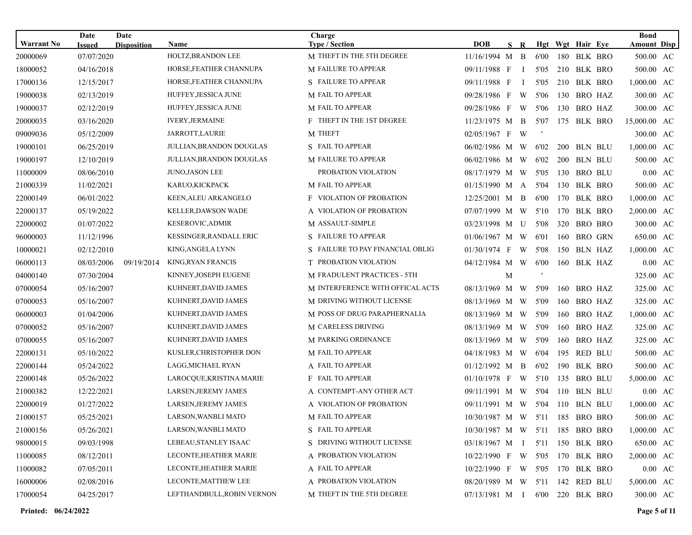|                               | Date          | Date               |                                   | Charge                                             |                                 |    |                |      |            |                                 |         | <b>Bond</b>        |                   |
|-------------------------------|---------------|--------------------|-----------------------------------|----------------------------------------------------|---------------------------------|----|----------------|------|------------|---------------------------------|---------|--------------------|-------------------|
| <b>Warrant No</b><br>20000069 | <b>Issued</b> | <b>Disposition</b> | <b>Name</b><br>HOLTZ, BRANDON LEE | <b>Type / Section</b><br>M THEFT IN THE 5TH DEGREE | DOB                             | S. | $\mathbf R$    | 6'00 |            | Hgt Wgt Hair Eye<br>180 BLK BRO |         | <b>Amount Disp</b> |                   |
|                               | 07/07/2020    |                    |                                   |                                                    | 11/16/1994 M                    |    | $\overline{B}$ |      |            |                                 |         | 500.00 AC          |                   |
| 18000052                      | 04/16/2018    |                    | HORSE,FEATHER CHANNUPA            | <b>M FAILURE TO APPEAR</b>                         | 09/11/1988 F                    |    | $\bf{I}$       | 5'05 |            | 210 BLK BRO                     |         | 500.00 AC          |                   |
| 17000136                      | 12/15/2017    |                    | HORSE, FEATHER CHANNUPA           | S FAILURE TO APPEAR                                | 09/11/1988 F                    |    | <sup>1</sup>   | 5'05 |            | 210 BLK BRO                     |         | 1,000.00 AC        |                   |
| 19000038                      | 02/13/2019    |                    | HUFFEY, JESSICA JUNE              | M FAIL TO APPEAR                                   | 09/28/1986 F W                  |    |                | 5'06 |            | 130 BRO HAZ                     |         | 300.00 AC          |                   |
| 19000037                      | 02/12/2019    |                    | HUFFEY, JESSICA JUNE              | M FAIL TO APPEAR                                   | 09/28/1986 F W                  |    |                | 5'06 |            | 130 BRO HAZ                     |         | 300.00 AC          |                   |
| 20000035                      | 03/16/2020    |                    | <b>IVERY, JERMAINE</b>            | <b>F THEFT IN THE 1ST DEGREE</b>                   | 11/23/1975 M B                  |    |                | 5'07 |            | 175 BLK BRO                     |         | 15,000.00 AC       |                   |
| 09009036                      | 05/12/2009    |                    | JARROTT, LAURIE                   | <b>M THEFT</b>                                     | 02/05/1967 F W                  |    |                |      |            |                                 |         | 300.00 AC          |                   |
| 19000101                      | 06/25/2019    |                    | <b>JULLIAN, BRANDON DOUGLAS</b>   | S FAIL TO APPEAR                                   | $06/02/1986$ M W                |    |                | 6'02 | <b>200</b> |                                 | BLN BLU | 1,000.00 AC        |                   |
| 19000197                      | 12/10/2019    |                    | JULLIAN,BRANDON DOUGLAS           | M FAILURE TO APPEAR                                | 06/02/1986 M W                  |    |                | 6'02 |            | 200 BLN BLU                     |         | 500.00 AC          |                   |
| 11000009                      | 08/06/2010    |                    | <b>JUNO, JASON LEE</b>            | PROBATION VIOLATION                                | 08/17/1979 M W                  |    |                | 5'05 | 130        | BRO BLU                         |         | $0.00 \text{ AC}$  |                   |
| 21000339                      | 11/02/2021    |                    | KARUO,KICKPACK                    | M FAIL TO APPEAR                                   | $01/15/1990$ M A                |    |                | 5'04 |            | 130 BLK BRO                     |         | 500.00 AC          |                   |
| 22000149                      | 06/01/2022    |                    | KEEN, ALEU ARKANGELO              | <b>F</b> VIOLATION OF PROBATION                    | 12/25/2001 M B                  |    |                | 6'00 | 170        | BLK BRO                         |         | 1,000.00 AC        |                   |
| 22000137                      | 05/19/2022    |                    | <b>KELLER, DAWSON WADE</b>        | A VIOLATION OF PROBATION                           | 07/07/1999 M W                  |    |                | 5'10 |            | 170 BLK BRO                     |         | 2,000.00 AC        |                   |
| 22000002                      | 01/07/2022    |                    | <b>KESEROVIC, ADMIR</b>           | M ASSAULT-SIMPLE                                   | 03/23/1998 M U                  |    |                | 5'08 | 320        | <b>BRO BRO</b>                  |         | 300.00 AC          |                   |
| 96000003                      | 11/12/1996    |                    | KESSINGER,RANDALL ERIC            | S FAILURE TO APPEAR                                | 01/06/1967 M W                  |    |                | 6'01 |            | 160 BRO GRN                     |         | 650.00 AC          |                   |
| 10000021                      | 02/12/2010    |                    | KING,ANGELA LYNN                  | S FAILURE TO PAY FINANCIAL OBLIG                   | $01/30/1974$ F                  |    | W              | 5'08 | 150        | <b>BLN HAZ</b>                  |         | 1,000.00 AC        |                   |
| 06000113                      | 08/03/2006    | 09/19/2014         | KING, RYAN FRANCIS                | T PROBATION VIOLATION                              | 04/12/1984 M W                  |    |                | 6'00 |            | 160 BLK HAZ                     |         | $0.00 \text{ AC}$  |                   |
| 04000140                      | 07/30/2004    |                    | KINNEY, JOSEPH EUGENE             | M FRADULENT PRACTICES - 5TH                        |                                 | M  |                |      |            |                                 |         | 325.00 AC          |                   |
| 07000054                      | 05/16/2007    |                    | KUHNERT, DAVID JAMES              | M INTERFERENCE WITH OFFICAL ACTS                   | 08/13/1969 M                    |    | W              | 5'09 | 160        |                                 | BRO HAZ | 325.00 AC          |                   |
| 07000053                      | 05/16/2007    |                    | KUHNERT, DAVID JAMES              | M DRIVING WITHOUT LICENSE                          | 08/13/1969 M W                  |    |                | 5'09 | 160        | BRO HAZ                         |         | 325.00 AC          |                   |
| 06000003                      | 01/04/2006    |                    | KUHNERT, DAVID JAMES              | M POSS OF DRUG PARAPHERNALIA                       | 08/13/1969 M W                  |    |                | 5'09 | 160        |                                 | BRO HAZ | 1,000.00 AC        |                   |
| 07000052                      | 05/16/2007    |                    | KUHNERT, DAVID JAMES              | <b>M CARELESS DRIVING</b>                          | 08/13/1969 M W                  |    |                | 5'09 | 160        | BRO HAZ                         |         | 325.00 AC          |                   |
| 07000055                      | 05/16/2007    |                    | KUHNERT, DAVID JAMES              | M PARKING ORDINANCE                                | 08/13/1969 M W                  |    |                | 5'09 | 160        |                                 | BRO HAZ | 325.00 AC          |                   |
| 22000131                      | 05/10/2022    |                    | KUSLER, CHRISTOPHER DON           | M FAIL TO APPEAR                                   | 04/18/1983 M W                  |    |                | 6'04 | 195        | RED BLU                         |         | 500.00 AC          |                   |
| 22000144                      | 05/24/2022    |                    | LAGG, MICHAEL RYAN                | A FAIL TO APPEAR                                   | $01/12/1992$ M B                |    |                | 6'02 | 190        |                                 | BLK BRO | 500.00 AC          |                   |
| 22000148                      | 05/26/2022    |                    | LAROCQUE, KRISTINA MARIE          | F FAIL TO APPEAR                                   | $01/10/1978$ F W                |    |                | 5'10 | 135        | <b>BRO BLU</b>                  |         | 5,000.00 AC        |                   |
| 21000382                      | 12/22/2021    |                    | LARSEN, JEREMY JAMES              | A CONTEMPT-ANY OTHER ACT                           | 09/11/1991 M W                  |    |                | 5'04 | 110        | <b>BLN BLU</b>                  |         | $0.00 \text{ AC}$  |                   |
| 22000019                      | 01/27/2022    |                    | LARSEN, JEREMY JAMES              | A VIOLATION OF PROBATION                           | 09/11/1991 M W 5'04             |    |                |      |            | 110 BLN BLU                     |         | 1,000.00 AC        |                   |
| 21000157                      | 05/25/2021    |                    | LARSON, WANBLI MATO               | M FAIL TO APPEAR                                   | 10/30/1987 M W 5'11 185 BRO BRO |    |                |      |            |                                 |         | 500.00 AC          |                   |
| 21000156                      | 05/26/2021    |                    | LARSON, WANBLI MATO               | S FAIL TO APPEAR                                   | 10/30/1987 M W 5'11             |    |                |      |            | 185 BRO BRO                     |         | $1,000.00$ AC      |                   |
| 98000015                      | 09/03/1998    |                    | LEBEAU, STANLEY ISAAC             | S DRIVING WITHOUT LICENSE                          | 03/18/1967 M I 5'11             |    |                |      |            | 150 BLK BRO                     |         | 650.00 AC          |                   |
| 11000085                      | 08/12/2011    |                    | LECONTE, HEATHER MARIE            | A PROBATION VIOLATION                              | 10/22/1990 F W 5'05             |    |                |      |            | 170 BLK BRO                     |         | 2,000.00 AC        |                   |
| 11000082                      | 07/05/2011    |                    | LECONTE, HEATHER MARIE            | A FAIL TO APPEAR                                   | 10/22/1990 F W 5'05             |    |                |      |            | 170 BLK BRO                     |         |                    | $0.00 \text{ AC}$ |
| 16000006                      | 02/08/2016    |                    | LECONTE, MATTHEW LEE              | A PROBATION VIOLATION                              | 08/20/1989 M W 5'11             |    |                |      |            | 142 RED BLU                     |         | 5,000.00 AC        |                   |
| 17000054                      | 04/25/2017    |                    | LEFTHANDBULL, ROBIN VERNON        | M THEFT IN THE 5TH DEGREE                          | 07/13/1981 M I 6'00 220 BLK BRO |    |                |      |            |                                 |         | 300.00 AC          |                   |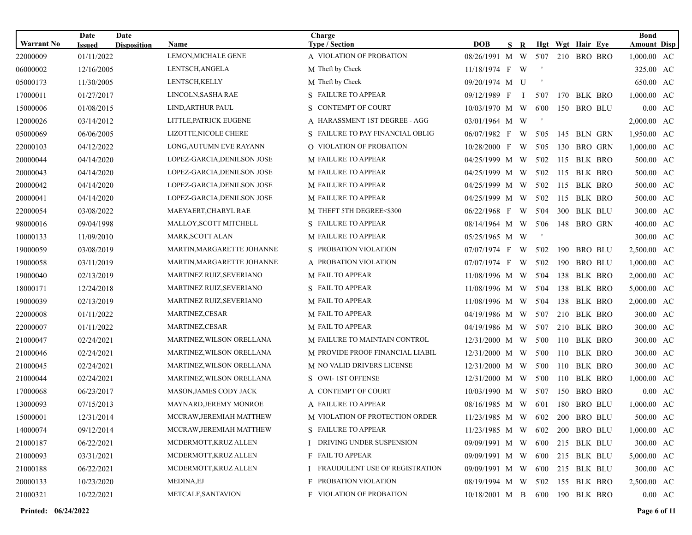| <b>Warrant No</b> | Date                        | Date               | Name                        | Charge<br><b>Type / Section</b>         | <b>DOB</b>                      | S R          |      |     | Hgt Wgt Hair Eye | <b>Bond</b><br><b>Amount Disp</b> |                   |
|-------------------|-----------------------------|--------------------|-----------------------------|-----------------------------------------|---------------------------------|--------------|------|-----|------------------|-----------------------------------|-------------------|
| 22000009          | <b>Issued</b><br>01/11/2022 | <b>Disposition</b> | LEMON, MICHALE GENE         | A VIOLATION OF PROBATION                | 08/26/1991 M W                  |              | 5'07 |     | 210 BRO BRO      | 1,000.00 AC                       |                   |
| 06000002          | 12/16/2005                  |                    | LENTSCH, ANGELA             | M Theft by Check                        | 11/18/1974 F W                  |              |      |     |                  | 325.00 AC                         |                   |
| 05000173          | 11/30/2005                  |                    | LENTSCH, KELLY              | M Theft by Check                        | 09/20/1974 M U                  |              |      |     |                  | 650.00 AC                         |                   |
| 17000011          | 01/27/2017                  |                    | LINCOLN, SASHA RAE          | S FAILURE TO APPEAR                     | 09/12/1989 F                    | $\mathbf{I}$ | 5'07 |     | 170 BLK BRO      | 1,000.00 AC                       |                   |
| 15000006          | 01/08/2015                  |                    | LIND, ARTHUR PAUL           | S CONTEMPT OF COURT                     | 10/03/1970 M W                  |              | 6'00 |     | 150 BRO BLU      |                                   | $0.00$ AC         |
| 12000026          | 03/14/2012                  |                    | LITTLE, PATRICK EUGENE      | A HARASSMENT 1ST DEGREE - AGG           | 03/01/1964 M W                  |              |      |     |                  | 2,000.00 AC                       |                   |
| 05000069          | 06/06/2005                  |                    | LIZOTTE, NICOLE CHERE       | S FAILURE TO PAY FINANCIAL OBLIG        | $06/07/1982$ F                  | W            | 5'05 | 145 | BLN GRN          | 1,950.00 AC                       |                   |
| 22000103          | 04/12/2022                  |                    | LONG, AUTUMN EVE RAYANN     | O VIOLATION OF PROBATION                | $10/28/2000$ F                  | W            | 5'05 | 130 | BRO GRN          | 1,000.00 AC                       |                   |
| 20000044          | 04/14/2020                  |                    | LOPEZ-GARCIA, DENILSON JOSE | M FAILURE TO APPEAR                     | 04/25/1999 M W                  |              | 5'02 |     | 115 BLK BRO      | 500.00 AC                         |                   |
| 20000043          | 04/14/2020                  |                    | LOPEZ-GARCIA, DENILSON JOSE | <b>M FAILURE TO APPEAR</b>              | 04/25/1999 M W                  |              | 5'02 | 115 | BLK BRO          | 500.00 AC                         |                   |
| 20000042          | 04/14/2020                  |                    | LOPEZ-GARCIA, DENILSON JOSE | <b>M FAILURE TO APPEAR</b>              | 04/25/1999 M W                  |              | 5'02 |     | 115 BLK BRO      | 500.00 AC                         |                   |
| 20000041          | 04/14/2020                  |                    | LOPEZ-GARCIA, DENILSON JOSE | M FAILURE TO APPEAR                     | 04/25/1999 M W                  |              | 5'02 | 115 | BLK BRO          | 500.00 AC                         |                   |
| 22000054          | 03/08/2022                  |                    | MAEYAERT, CHARYL RAE        | M THEFT 5TH DEGREE<\$300                | 06/22/1968 F W                  |              | 5'04 |     | 300 BLK BLU      | 300.00 AC                         |                   |
| 98000016          | 09/04/1998                  |                    | MALLOY, SCOTT MITCHELL      | S FAILURE TO APPEAR                     | 08/14/1964 M W                  |              | 5'06 | 148 | BRO GRN          | 400.00 AC                         |                   |
| 10000133          | 11/09/2010                  |                    | MARK, SCOTT ALAN            | M FAILURE TO APPEAR                     | 05/25/1965 M W                  |              |      |     |                  | 300.00 AC                         |                   |
| 19000059          | 03/08/2019                  |                    | MARTIN, MARGARETTE JOHANNE  | S PROBATION VIOLATION                   | 07/07/1974 F                    | W            | 5'02 | 190 | <b>BRO BLU</b>   | 2,500.00 AC                       |                   |
| 19000058          | 03/11/2019                  |                    | MARTIN, MARGARETTE JOHANNE  | A PROBATION VIOLATION                   | 07/07/1974 F                    | W            | 5'02 | 190 | <b>BRO BLU</b>   | $1,000.00$ AC                     |                   |
| 19000040          | 02/13/2019                  |                    | MARTINEZ RUIZ, SEVERIANO    | M FAIL TO APPEAR                        | 11/08/1996 M W                  |              | 5'04 | 138 | BLK BRO          | 2,000.00 AC                       |                   |
| 18000171          | 12/24/2018                  |                    | MARTINEZ RUIZ, SEVERIANO    | S FAIL TO APPEAR                        | 11/08/1996 M W                  |              | 5'04 | 138 | BLK BRO          | 5,000.00 AC                       |                   |
| 19000039          | 02/13/2019                  |                    | MARTINEZ RUIZ, SEVERIANO    | M FAIL TO APPEAR                        | 11/08/1996 M W                  |              | 5'04 |     | 138 BLK BRO      | 2,000.00 AC                       |                   |
| 22000008          | 01/11/2022                  |                    | MARTINEZ,CESAR              | M FAIL TO APPEAR                        | 04/19/1986 M W                  |              | 5'07 | 210 | <b>BLK BRO</b>   | 300.00 AC                         |                   |
| 22000007          | 01/11/2022                  |                    | <b>MARTINEZ,CESAR</b>       | M FAIL TO APPEAR                        | 04/19/1986 M W                  |              | 5'07 |     | 210 BLK BRO      | 300.00 AC                         |                   |
| 21000047          | 02/24/2021                  |                    | MARTINEZ, WILSON ORELLANA   | M FAILURE TO MAINTAIN CONTROL           | 12/31/2000 M W                  |              | 5'00 | 110 | BLK BRO          | 300.00 AC                         |                   |
| 21000046          | 02/24/2021                  |                    | MARTINEZ, WILSON ORELLANA   | M PROVIDE PROOF FINANCIAL LIABIL        | 12/31/2000 M W                  |              | 5'00 |     | 110 BLK BRO      | 300.00 AC                         |                   |
| 21000045          | 02/24/2021                  |                    | MARTINEZ, WILSON ORELLANA   | <b>M NO VALID DRIVERS LICENSE</b>       | $12/31/2000$ M W                |              | 5'00 | 110 | BLK BRO          | 300.00 AC                         |                   |
| 21000044          | 02/24/2021                  |                    | MARTINEZ, WILSON ORELLANA   | S OWI-1ST OFFENSE                       | 12/31/2000 M W                  |              | 5'00 | 110 | BLK BRO          | 1,000.00 AC                       |                   |
| 17000068          | 06/23/2017                  |                    | MASON, JAMES CODY JACK      | A CONTEMPT OF COURT                     | 10/03/1990 M W                  |              | 5'07 | 150 | <b>BRO BRO</b>   |                                   | $0.00 \text{ AC}$ |
| 13000093          | 07/15/2013                  |                    | MAYNARD, JEREMY MONROE      | A FAILURE TO APPEAR                     | 08/16/1985 M W                  |              | 6'01 | 180 | <b>BRO BLU</b>   | 1,000.00 AC                       |                   |
| 15000001          | 12/31/2014                  |                    | MCCRAW, JEREMIAH MATTHEW    | M VIOLATION OF PROTECTION ORDER         | 11/23/1985 M W 6'02 200 BRO BLU |              |      |     |                  | 500.00 AC                         |                   |
| 14000074          | 09/12/2014                  |                    | MCCRAW, JEREMIAH MATTHEW    | S FAILURE TO APPEAR                     | $11/23/1985$ M W 6'02           |              |      |     | 200 BRO BLU      | $1,000.00$ AC                     |                   |
| 21000187          | 06/22/2021                  |                    | MCDERMOTT, KRUZ ALLEN       | I DRIVING UNDER SUSPENSION              | 09/09/1991 M W 6'00 215 BLK BLU |              |      |     |                  | 300.00 AC                         |                   |
| 21000093          | 03/31/2021                  |                    | MCDERMOTT, KRUZ ALLEN       | F FAIL TO APPEAR                        | 09/09/1991 M W 6'00             |              |      |     | 215 BLK BLU      | 5,000.00 AC                       |                   |
| 21000188          | 06/22/2021                  |                    | MCDERMOTT, KRUZ ALLEN       | <b>I FRAUDULENT USE OF REGISTRATION</b> | 09/09/1991 M W 6'00             |              |      |     | 215 BLK BLU      | 300.00 AC                         |                   |
| 20000133          | 10/23/2020                  |                    | <b>MEDINA,EJ</b>            | <b>F PROBATION VIOLATION</b>            | 08/19/1994 M W 5'02             |              |      |     | 155 BLK BRO      | 2,500.00 AC                       |                   |
| 21000321          | 10/22/2021                  |                    | METCALF, SANTAVION          | F VIOLATION OF PROBATION                | 10/18/2001 M B 6'00 190 BLK BRO |              |      |     |                  |                                   | $0.00 \text{ AC}$ |

**Printed: 06/24/2022 Page 6 of 11**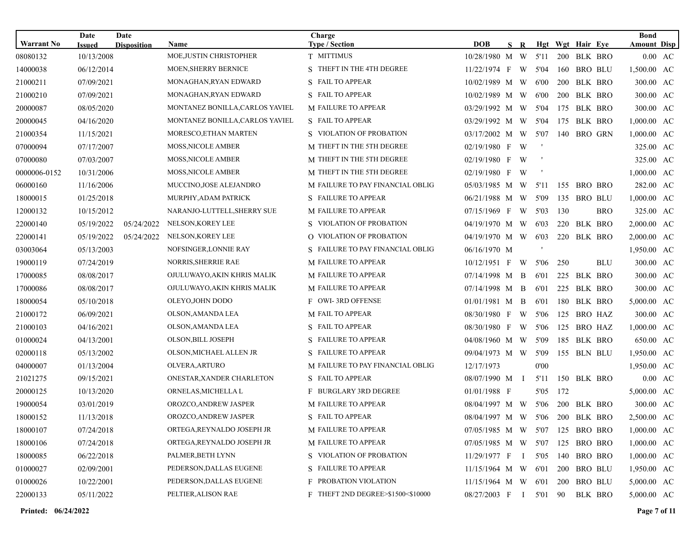|                   | Date          | Date               |                                 | Charge                            |                                 |     |   |                          |     |                  | <b>Bond</b>        |         |
|-------------------|---------------|--------------------|---------------------------------|-----------------------------------|---------------------------------|-----|---|--------------------------|-----|------------------|--------------------|---------|
| <b>Warrant No</b> | <b>Issued</b> | <b>Disposition</b> | <b>Name</b>                     | <b>Type / Section</b>             | <b>DOB</b>                      | S R |   |                          |     | Hgt Wgt Hair Eye | <b>Amount Disp</b> |         |
| 08080132          | 10/13/2008    |                    | MOE, JUSTIN CHRISTOPHER         | T MITTIMUS                        | 10/28/1980 M W                  |     |   | 5'11                     |     | 200 BLK BRO      |                    | 0.00 AC |
| 14000038          | 06/12/2014    |                    | <b>MOEN, SHERRY BERNICE</b>     | S THEFT IN THE 4TH DEGREE         | 11/22/1974 F W                  |     |   | 5'04                     |     | 160 BRO BLU      | 1,500.00 AC        |         |
| 21000211          | 07/09/2021    |                    | MONAGHAN, RYAN EDWARD           | S FAIL TO APPEAR                  | 10/02/1989 M W                  |     |   | 6'00                     | 200 | BLK BRO          | 300.00 AC          |         |
| 21000210          | 07/09/2021    |                    | MONAGHAN,RYAN EDWARD            | S FAIL TO APPEAR                  | 10/02/1989 M W                  |     |   | 6'00                     | 200 | BLK BRO          | 300.00 AC          |         |
| 20000087          | 08/05/2020    |                    | MONTANEZ BONILLA, CARLOS YAVIEL | <b>M FAILURE TO APPEAR</b>        | 03/29/1992 M W                  |     |   | 5'04                     | 175 | BLK BRO          | 300.00 AC          |         |
| 20000045          | 04/16/2020    |                    | MONTANEZ BONILLA, CARLOS YAVIEL | S FAIL TO APPEAR                  | 03/29/1992 M W                  |     |   | 5'04                     | 175 | BLK BRO          | 1,000.00 AC        |         |
| 21000354          | 11/15/2021    |                    | MORESCO, ETHAN MARTEN           | S VIOLATION OF PROBATION          | 03/17/2002 M W                  |     |   | 5'07                     | 140 | <b>BRO GRN</b>   | 1,000.00 AC        |         |
| 07000094          | 07/17/2007    |                    | <b>MOSS, NICOLE AMBER</b>       | M THEFT IN THE 5TH DEGREE         | 02/19/1980 F W                  |     |   | $\overline{\phantom{a}}$ |     |                  | 325.00 AC          |         |
| 07000080          | 07/03/2007    |                    | <b>MOSS, NICOLE AMBER</b>       | M THEFT IN THE 5TH DEGREE         | 02/19/1980 F W                  |     |   | $\overline{\phantom{a}}$ |     |                  | 325.00 AC          |         |
| 0000006-0152      | 10/31/2006    |                    | <b>MOSS, NICOLE AMBER</b>       | M THEFT IN THE 5TH DEGREE         | $02/19/1980$ F                  |     | W |                          |     |                  | 1,000.00 AC        |         |
| 06000160          | 11/16/2006    |                    | MUCCINO, JOSE ALEJANDRO         | M FAILURE TO PAY FINANCIAL OBLIG  | 05/03/1985 M W                  |     |   | 5'11                     |     | 155 BRO BRO      | 282.00 AC          |         |
| 18000015          | 01/25/2018    |                    | MURPHY, ADAM PATRICK            | S FAILURE TO APPEAR               | 06/21/1988 M W                  |     |   | 5'09                     |     | 135 BRO BLU      | 1,000.00 AC        |         |
| 12000132          | 10/15/2012    |                    | NARANJO-LUTTELL, SHERRY SUE     | <b>M FAILURE TO APPEAR</b>        | 07/15/1969 F W                  |     |   | 5'03                     | 130 | BRO              | 325.00 AC          |         |
| 22000140          | 05/19/2022    | 05/24/2022         | NELSON, KOREY LEE               | S VIOLATION OF PROBATION          | 04/19/1970 M W                  |     |   | 6'03                     | 220 | BLK BRO          | 2,000.00 AC        |         |
| 22000141          | 05/19/2022    | 05/24/2022         | NELSON, KOREY LEE               | O VIOLATION OF PROBATION          | 04/19/1970 M W                  |     |   | 6'03                     | 220 | <b>BLK BRO</b>   | 2,000.00 AC        |         |
| 03003064          | 05/13/2003    |                    | NOFSINGER, LONNIE RAY           | S FAILURE TO PAY FINANCIAL OBLIG  | 06/16/1970 M                    |     |   |                          |     |                  | 1,950.00 AC        |         |
| 19000119          | 07/24/2019    |                    | NORRIS, SHERRIE RAE             | <b>M FAILURE TO APPEAR</b>        | $10/12/1951$ F W                |     |   | 5'06                     | 250 | <b>BLU</b>       | 300.00 AC          |         |
| 17000085          | 08/08/2017    |                    | OJULUWAYO, AKIN KHRIS MALIK     | M FAILURE TO APPEAR               | 07/14/1998 M B                  |     |   | 6'01                     | 225 | BLK BRO          | 300.00 AC          |         |
| 17000086          | 08/08/2017    |                    | OJULUWAYO,AKIN KHRIS MALIK      | <b>M FAILURE TO APPEAR</b>        | 07/14/1998 M B                  |     |   | 6'01                     | 225 | BLK BRO          | 300.00 AC          |         |
| 18000054          | 05/10/2018    |                    | OLEYO, JOHN DODO                | F OWI-3RD OFFENSE                 | 01/01/1981 M B                  |     |   | 6'01                     | 180 | BLK BRO          | 5,000.00 AC        |         |
| 21000172          | 06/09/2021    |                    | OLSON, AMANDA LEA               | M FAIL TO APPEAR                  | 08/30/1980 F W                  |     |   | 5'06                     | 125 | BRO HAZ          | 300.00 AC          |         |
| 21000103          | 04/16/2021    |                    | OLSON,AMANDA LEA                | S FAIL TO APPEAR                  | 08/30/1980 F W                  |     |   | 5'06                     |     | 125 BRO HAZ      | 1,000.00 AC        |         |
| 01000024          | 04/13/2001    |                    | <b>OLSON, BILL JOSEPH</b>       | S FAILURE TO APPEAR               | 04/08/1960 M W                  |     |   | 5'09                     | 185 | BLK BRO          | 650.00 AC          |         |
| 02000118          | 05/13/2002    |                    | OLSON, MICHAEL ALLEN JR         | S FAILURE TO APPEAR               | 09/04/1973 M W                  |     |   | 5'09                     |     | 155 BLN BLU      | 1,950.00 AC        |         |
| 04000007          | 01/13/2004    |                    | OLVERA, ARTURO                  | M FAILURE TO PAY FINANCIAL OBLIG  | 12/17/1973                      |     |   | 0'00                     |     |                  | 1,950.00 AC        |         |
| 21021275          | 09/15/2021    |                    | ONESTAR, XANDER CHARLETON       | S FAIL TO APPEAR                  | 08/07/1990 M I                  |     |   | 5'11                     |     | 150 BLK BRO      | $0.00 \text{ AC}$  |         |
| 20000125          | 10/13/2020    |                    | ORNELAS, MICHELLA L             | F BURGLARY 3RD DEGREE             | 01/01/1988 F                    |     |   | 5'05                     | 172 |                  | 5,000.00 AC        |         |
| 19000054          | 03/01/2019    |                    | OROZCO, ANDREW JASPER           | <b>M FAILURE TO APPEAR</b>        | 08/04/1997 M W                  |     |   | 5'06                     | 200 | BLK BRO          | 300.00 AC          |         |
| 18000152          | 11/13/2018    |                    | OROZCO, ANDREW JASPER           | S FAIL TO APPEAR                  | 08/04/1997 M W 5'06 200 BLK BRO |     |   |                          |     |                  | 2,500.00 AC        |         |
| 18000107          | 07/24/2018    |                    | ORTEGA, REYNALDO JOSEPH JR      | M FAILURE TO APPEAR               | 07/05/1985 M W 5'07             |     |   |                          |     | 125 BRO BRO      | 1,000.00 AC        |         |
| 18000106          | 07/24/2018    |                    | ORTEGA, REYNALDO JOSEPH JR      | <b>M FAILURE TO APPEAR</b>        | 07/05/1985 M W 5'07             |     |   |                          |     | 125 BRO BRO      | 1,000.00 AC        |         |
| 18000085          | 06/22/2018    |                    | PALMER, BETH LYNN               | S VIOLATION OF PROBATION          | $11/29/1977$ F I                |     |   | 5'05                     |     | 140 BRO BRO      | 1,000.00 AC        |         |
| 01000027          | 02/09/2001    |                    | PEDERSON, DALLAS EUGENE         | S FAILURE TO APPEAR               | $11/15/1964$ M W 6'01           |     |   |                          |     | 200 BRO BLU      | 1,950.00 AC        |         |
| 01000026          | 10/22/2001    |                    | PEDERSON, DALLAS EUGENE         | <b>F PROBATION VIOLATION</b>      | $11/15/1964$ M W 6'01           |     |   |                          |     | 200 BRO BLU      | 5,000.00 AC        |         |
| 22000133          | 05/11/2022    |                    | PELTIER, ALISON RAE             | F THEFT 2ND DEGREE>\$1500<\$10000 | 08/27/2003 F I 5'01 90          |     |   |                          |     | BLK BRO          | 5,000.00 AC        |         |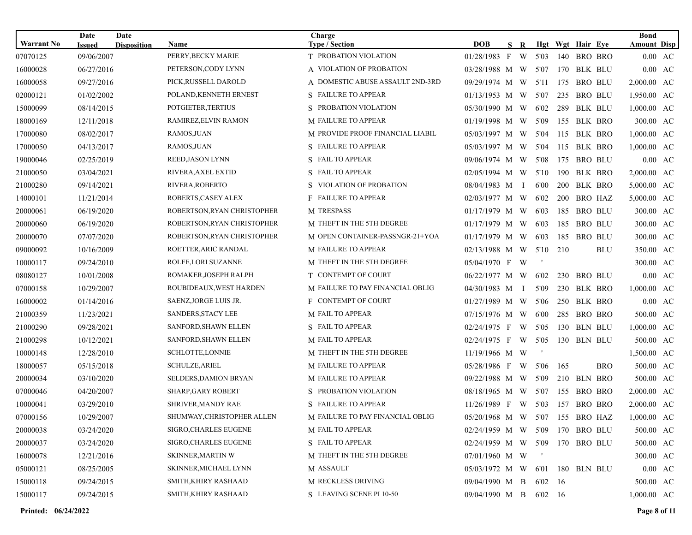| <b>Warrant No</b> | Date                        | Date               |                                   | Charge                                         |                                 |              |              |            |                                    |            | <b>Bond</b>                |                   |
|-------------------|-----------------------------|--------------------|-----------------------------------|------------------------------------------------|---------------------------------|--------------|--------------|------------|------------------------------------|------------|----------------------------|-------------------|
| 07070125          | <b>Issued</b><br>09/06/2007 | <b>Disposition</b> | <b>Name</b><br>PERRY, BECKY MARIE | <b>Type / Section</b><br>T PROBATION VIOLATION | <b>DOB</b><br>01/28/1983 F      | S R<br>W     | 5'03         | 140        | Hgt Wgt Hair Eye<br><b>BRO BRO</b> |            | <b>Amount Disp</b>         | 0.00 AC           |
| 16000028          | 06/27/2016                  |                    | PETERSON, CODY LYNN               | A VIOLATION OF PROBATION                       | 03/28/1988 M W                  |              | 5'07         |            | 170 BLK BLU                        |            |                            | $0.00 \text{ AC}$ |
| 16000058          | 09/27/2016                  |                    | PICK, RUSSELL DAROLD              | A DOMESTIC ABUSE ASSAULT 2ND-3RD               | 09/29/1974 M W                  |              | 5'11         | 175        | <b>BRO BLU</b>                     |            | 2,000.00 AC                |                   |
|                   | 01/02/2002                  |                    | POLAND, KENNETH ERNEST            | S FAILURE TO APPEAR                            | $01/13/1953$ M W                |              |              |            | <b>BRO BLU</b>                     |            |                            |                   |
| 02000121          | 08/14/2015                  |                    | POTGIETER, TERTIUS                | S PROBATION VIOLATION                          | 05/30/1990 M W                  |              | 5'07<br>6'02 | 235<br>289 | BLK BLU                            |            | 1,950.00 AC<br>1,000.00 AC |                   |
| 15000099          |                             |                    |                                   | M FAILURE TO APPEAR                            |                                 |              |              |            |                                    |            |                            |                   |
| 18000169          | 12/11/2018                  |                    | RAMIREZ,ELVIN RAMON               |                                                | 01/19/1998 M W                  |              | 5'09         | 155        | BLK BRO                            |            | 300.00 AC                  |                   |
| 17000080          | 08/02/2017                  |                    | RAMOS, JUAN                       | M PROVIDE PROOF FINANCIAL LIABIL               | 05/03/1997 M W                  |              | 5'04         | 115        | BLK BRO                            |            | 1,000.00 AC                |                   |
| 17000050          | 04/13/2017                  |                    | RAMOS, JUAN                       | S FAILURE TO APPEAR                            | 05/03/1997 M W                  |              | 5'04         | 115        | BLK BRO                            |            | 1,000.00 AC                |                   |
| 19000046          | 02/25/2019                  |                    | REED, JASON LYNN                  | S FAIL TO APPEAR                               | 09/06/1974 M W                  |              | 5'08         | 175        | <b>BRO BLU</b>                     |            |                            | $0.00 \text{ AC}$ |
| 21000050          | 03/04/2021                  |                    | RIVERA, AXEL EXTID                | S FAIL TO APPEAR                               | 02/05/1994 M W                  |              | 5'10         | 190        | BLK BRO                            |            | 2,000.00 AC                |                   |
| 21000280          | 09/14/2021                  |                    | RIVERA, ROBERTO                   | S VIOLATION OF PROBATION                       | 08/04/1983 M I                  |              | 6'00         | <b>200</b> | BLK BRO                            |            | 5,000.00 AC                |                   |
| 14000101          | 11/21/2014                  |                    | ROBERTS, CASEY ALEX               | <b>F</b> FAILURE TO APPEAR                     | $02/03/1977$ M W                |              | 6'02         | <b>200</b> | BRO HAZ                            |            | 5,000.00 AC                |                   |
| 20000061          | 06/19/2020                  |                    | ROBERTSON, RYAN CHRISTOPHER       | M TRESPASS                                     | $01/17/1979$ M W                |              | 6'03         | 185        | <b>BRO BLU</b>                     |            | 300.00 AC                  |                   |
| 20000060          | 06/19/2020                  |                    | ROBERTSON, RYAN CHRISTOPHER       | M THEFT IN THE 5TH DEGREE                      | $01/17/1979$ M W                |              | 6'03         | 185        | <b>BRO BLU</b>                     |            | 300.00 AC                  |                   |
| 20000070          | 07/07/2020                  |                    | ROBERTSON, RYAN CHRISTOPHER       | M OPEN CONTAINER-PASSNGR-21+YOA                | 01/17/1979 M W                  |              | 6'03         | 185        | <b>BRO BLU</b>                     |            | 300.00 AC                  |                   |
| 09000092          | 10/16/2009                  |                    | ROETTER, ARIC RANDAL              | M FAILURE TO APPEAR                            | 02/13/1988 M W                  |              | 5'10         | 210        |                                    | <b>BLU</b> | 350.00 AC                  |                   |
| 10000117          | 09/24/2010                  |                    | ROLFE, LORI SUZANNE               | M THEFT IN THE 5TH DEGREE                      | 05/04/1970 F W                  |              |              |            |                                    |            | 300.00 AC                  |                   |
| 08080127          | 10/01/2008                  |                    | ROMAKER, JOSEPH RALPH             | T CONTEMPT OF COURT                            | 06/22/1977 M W                  |              | 6'02         | 230        | <b>BRO BLU</b>                     |            |                            | $0.00 \text{ AC}$ |
| 07000158          | 10/29/2007                  |                    | ROUBIDEAUX, WEST HARDEN           | M FAILURE TO PAY FINANCIAL OBLIG               | 04/30/1983 M                    | $\mathbf{I}$ | 5'09         | 230        | BLK BRO                            |            | 1,000.00 AC                |                   |
| 16000002          | 01/14/2016                  |                    | SAENZ, JORGE LUIS JR.             | F CONTEMPT OF COURT                            | 01/27/1989 M W                  |              | 5'06         | 250        | BLK BRO                            |            |                            | $0.00 \text{ AC}$ |
| 21000359          | 11/23/2021                  |                    | SANDERS, STACY LEE                | M FAIL TO APPEAR                               | 07/15/1976 M W                  |              | 6'00         | 285        | BRO BRO                            |            | 500.00 AC                  |                   |
| 21000290          | 09/28/2021                  |                    | SANFORD, SHAWN ELLEN              | S FAIL TO APPEAR                               | 02/24/1975 F W                  |              | 5'05         |            | 130 BLN BLU                        |            | 1,000.00 AC                |                   |
| 21000298          | 10/12/2021                  |                    | SANFORD, SHAWN ELLEN              | M FAIL TO APPEAR                               | $02/24/1975$ F                  | W            | 5'05         |            | 130 BLN BLU                        |            | 500.00 AC                  |                   |
| 10000148          | 12/28/2010                  |                    | SCHLOTTE, LONNIE                  | M THEFT IN THE 5TH DEGREE                      | 11/19/1966 M W                  |              | - 1          |            |                                    |            | 1,500.00 AC                |                   |
| 18000057          | 05/15/2018                  |                    | <b>SCHULZE, ARIEL</b>             | <b>M FAILURE TO APPEAR</b>                     | 05/28/1986 F                    | W            | 5'06         | 165        |                                    | BRO        | 500.00 AC                  |                   |
| 20000034          | 03/10/2020                  |                    | <b>SELDERS, DAMION BRYAN</b>      | <b>M FAILURE TO APPEAR</b>                     | 09/22/1988 M W                  |              | 5'09         |            | 210 BLN BRO                        |            | 500.00 AC                  |                   |
| 07000046          | 04/20/2007                  |                    | SHARP, GARY ROBERT                | S PROBATION VIOLATION                          | 08/18/1965 M W                  |              | 5'07         | 155        | <b>BRO BRO</b>                     |            | 2,000.00 AC                |                   |
| 10000041          | 03/29/2010                  |                    | <b>SHRIVER, MANDY RAE</b>         | S FAILURE TO APPEAR                            | 11/26/1989 F W                  |              | 5'03         |            | 157 BRO BRO                        |            | 2,000.00 AC                |                   |
| 07000156          | 10/29/2007                  |                    | SHUMWAY, CHRISTOPHER ALLEN        | M FAILURE TO PAY FINANCIAL OBLIG               | 05/20/1968 M W 5'07 155 BRO HAZ |              |              |            |                                    |            | 1,000.00 AC                |                   |
| 20000038          | 03/24/2020                  |                    | SIGRO, CHARLES EUGENE             | M FAIL TO APPEAR                               | 02/24/1959 M W 5'09             |              |              |            | 170 BRO BLU                        |            | 500.00 AC                  |                   |
| 20000037          | 03/24/2020                  |                    | <b>SIGRO, CHARLES EUGENE</b>      | S FAIL TO APPEAR                               | 02/24/1959 M W 5'09             |              |              |            | 170 BRO BLU                        |            | 500.00 AC                  |                   |
| 16000078          | 12/21/2016                  |                    | SKINNER, MARTIN W                 | M THEFT IN THE 5TH DEGREE                      | 07/01/1960 M W                  |              | $\mathbf{r}$ |            |                                    |            | 300.00 AC                  |                   |
| 05000121          | 08/25/2005                  |                    | SKINNER, MICHAEL LYNN             | M ASSAULT                                      | 05/03/1972 M W 6'01             |              |              |            | 180 BLN BLU                        |            |                            | $0.00 \text{ AC}$ |
| 15000118          | 09/24/2015                  |                    | SMITH, KHIRY RASHAAD              | M RECKLESS DRIVING                             | 09/04/1990 M B                  |              | 6'02         | - 16       |                                    |            | 500.00 AC                  |                   |
| 15000117          | 09/24/2015                  |                    | SMITH, KHIRY RASHAAD              | S LEAVING SCENE PI 10-50                       | 09/04/1990 M B                  |              | 6'02 16      |            |                                    |            | 1,000.00 AC                |                   |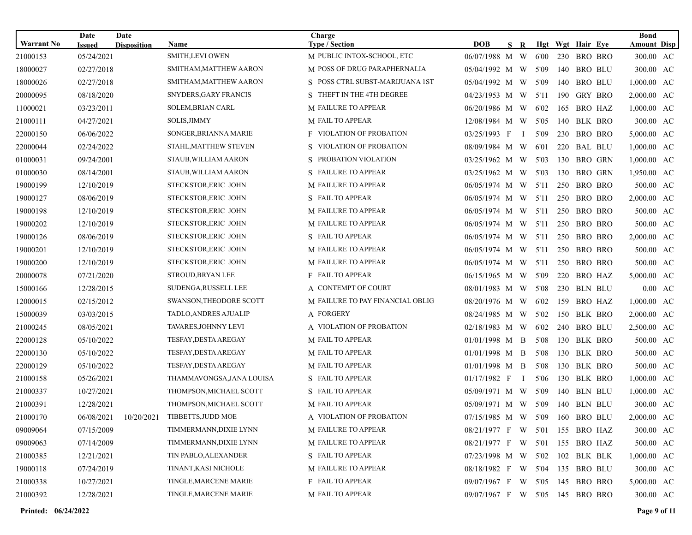| <b>Warrant No</b> | Date<br><b>Issued</b> | Date<br><b>Disposition</b> | Name                           | Charge<br><b>Type / Section</b>  | <b>DOB</b>                      | S R          |      |     | Hgt Wgt Hair Eye | <b>Bond</b><br><b>Amount Disp</b> |                   |
|-------------------|-----------------------|----------------------------|--------------------------------|----------------------------------|---------------------------------|--------------|------|-----|------------------|-----------------------------------|-------------------|
| 21000153          | 05/24/2021            |                            | <b>SMITH,LEVI OWEN</b>         | M PUBLIC INTOX-SCHOOL, ETC       | 06/07/1988 M W                  |              | 6'00 | 230 | BRO BRO          | 300.00 AC                         |                   |
| 18000027          | 02/27/2018            |                            | SMITHAM, MATTHEW AARON         | M POSS OF DRUG PARAPHERNALIA     | 05/04/1992 M W                  |              | 5'09 | 140 | <b>BRO BLU</b>   | 300.00 AC                         |                   |
| 18000026          | 02/27/2018            |                            | SMITHAM, MATTHEW AARON         | S POSS CTRL SUBST-MARIJUANA 1ST  | 05/04/1992 M W                  |              | 5'09 | 140 | <b>BRO BLU</b>   | 1,000.00 AC                       |                   |
| 20000095          | 08/18/2020            |                            | SNYDERS, GARY FRANCIS          | S THEFT IN THE 4TH DEGREE        | 04/23/1953 M W                  |              | 5'11 | 190 | GRY BRO          | 2,000.00 AC                       |                   |
| 11000021          | 03/23/2011            |                            | SOLEM, BRIAN CARL              | <b>M FAILURE TO APPEAR</b>       | 06/20/1986 M W                  |              | 6'02 | 165 | BRO HAZ          | 1,000.00 AC                       |                   |
| 21000111          | 04/27/2021            |                            | SOLIS, JIMMY                   | M FAIL TO APPEAR                 | 12/08/1984 M W                  |              | 5'05 | 140 | BLK BRO          | 300.00 AC                         |                   |
| 22000150          | 06/06/2022            |                            | SONGER, BRIANNA MARIE          | <b>F</b> VIOLATION OF PROBATION  | 03/25/1993 F                    | $\bf{I}$     | 5'09 | 230 | BRO BRO          | 5,000.00 AC                       |                   |
| 22000044          | 02/24/2022            |                            | STAHL, MATTHEW STEVEN          | S VIOLATION OF PROBATION         | 08/09/1984 M W                  |              | 6'01 | 220 | <b>BAL BLU</b>   | 1,000.00 AC                       |                   |
| 01000031          | 09/24/2001            |                            | STAUB, WILLIAM AARON           | S PROBATION VIOLATION            | 03/25/1962 M W                  |              | 5'03 | 130 | <b>BRO GRN</b>   | 1,000.00 AC                       |                   |
| 01000030          | 08/14/2001            |                            | STAUB, WILLIAM AARON           | S FAILURE TO APPEAR              | 03/25/1962 M W                  |              | 5'03 | 130 | <b>BRO GRN</b>   | 1,950.00 AC                       |                   |
| 19000199          | 12/10/2019            |                            | STECKSTOR, ERIC JOHN           | <b>M FAILURE TO APPEAR</b>       | 06/05/1974 M W                  |              | 5'11 |     | 250 BRO BRO      | 500.00 AC                         |                   |
| 19000127          | 08/06/2019            |                            | STECKSTOR, ERIC JOHN           | S FAIL TO APPEAR                 | $06/05/1974$ M W                |              | 5'11 | 250 | BRO BRO          | 2,000.00 AC                       |                   |
| 19000198          | 12/10/2019            |                            | STECKSTOR, ERIC JOHN           | <b>M FAILURE TO APPEAR</b>       | 06/05/1974 M W 5'11             |              |      |     | 250 BRO BRO      | 500.00 AC                         |                   |
| 19000202          | 12/10/2019            |                            | STECKSTOR, ERIC JOHN           | M FAILURE TO APPEAR              | 06/05/1974 M W                  |              | 5'11 | 250 | <b>BRO BRO</b>   | 500.00 AC                         |                   |
| 19000126          | 08/06/2019            |                            | STECKSTOR, ERIC JOHN           | S FAIL TO APPEAR                 | 06/05/1974 M W                  |              | 5'11 | 250 | BRO BRO          | 2,000.00 AC                       |                   |
| 19000201          | 12/10/2019            |                            | STECKSTOR, ERIC JOHN           | <b>M FAILURE TO APPEAR</b>       | 06/05/1974 M W                  |              | 5'11 | 250 | BRO BRO          | 500.00 AC                         |                   |
| 19000200          | 12/10/2019            |                            | STECKSTOR, ERIC JOHN           | <b>M FAILURE TO APPEAR</b>       | 06/05/1974 M W                  |              | 5'11 | 250 | BRO BRO          | 500.00 AC                         |                   |
| 20000078          | 07/21/2020            |                            | STROUD, BRYAN LEE              | <b>F</b> FAIL TO APPEAR          | 06/15/1965 M W                  |              | 5'09 | 220 | BRO HAZ          | 5,000.00 AC                       |                   |
| 15000166          | 12/28/2015            |                            | SUDENGA, RUSSELL LEE           | A CONTEMPT OF COURT              | 08/01/1983 M W                  |              | 5'08 | 230 | BLN BLU          |                                   | $0.00 \text{ AC}$ |
| 12000015          | 02/15/2012            |                            | <b>SWANSON, THEODORE SCOTT</b> | M FAILURE TO PAY FINANCIAL OBLIG | 08/20/1976 M W                  |              | 6'02 | 159 | BRO HAZ          | 1,000.00 AC                       |                   |
| 15000039          | 03/03/2015            |                            | TADLO, ANDRES AJUALIP          | A FORGERY                        | 08/24/1985 M W                  |              | 5'02 | 150 | BLK BRO          | 2,000.00 AC                       |                   |
| 21000245          | 08/05/2021            |                            | TAVARES, JOHNNY LEVI           | A VIOLATION OF PROBATION         | 02/18/1983 M W                  |              | 6'02 | 240 | <b>BRO BLU</b>   | 2,500.00 AC                       |                   |
| 22000128          | 05/10/2022            |                            | <b>TESFAY, DESTA AREGAY</b>    | M FAIL TO APPEAR                 | $01/01/1998$ M B                |              | 5'08 | 130 | BLK BRO          | 500.00 AC                         |                   |
| 22000130          | 05/10/2022            |                            | TESFAY, DESTA AREGAY           | M FAIL TO APPEAR                 | $01/01/1998$ M B                |              | 5'08 |     | 130 BLK BRO      | 500.00 AC                         |                   |
| 22000129          | 05/10/2022            |                            | <b>TESFAY, DESTA AREGAY</b>    | M FAIL TO APPEAR                 | $01/01/1998$ M B                |              | 5'08 | 130 | BLK BRO          | 500.00 AC                         |                   |
| 21000158          | 05/26/2021            |                            | THAMMAVONGSA,JANA LOUISA       | S FAIL TO APPEAR                 | 01/17/1982 F                    | $\mathbf{I}$ | 5'06 | 130 | BLK BRO          | 1,000.00 AC                       |                   |
| 21000337          | 10/27/2021            |                            | THOMPSON, MICHAEL SCOTT        | S FAIL TO APPEAR                 | 05/09/1971 M W                  |              | 5'09 | 140 | <b>BLN BLU</b>   | 1,000.00 AC                       |                   |
| 21000391          | 12/28/2021            |                            | THOMPSON, MICHAEL SCOTT        | M FAIL TO APPEAR                 | 05/09/1971 M W                  |              | 5'09 | 140 | <b>BLN BLU</b>   | 300.00 AC                         |                   |
| 21000170          | 06/08/2021            | 10/20/2021                 | TIBBETTS, JUDD MOE             | A VIOLATION OF PROBATION         | 07/15/1985 M W 5'09 160 BRO BLU |              |      |     |                  | 2,000.00 AC                       |                   |
| 09009064          | 07/15/2009            |                            | TIMMERMANN,DIXIE LYNN          | M FAILURE TO APPEAR              | 08/21/1977 F W 5'01             |              |      |     | 155 BRO HAZ      | 300.00 AC                         |                   |
| 09009063          | 07/14/2009            |                            | TIMMERMANN, DIXIE LYNN         | M FAILURE TO APPEAR              | 08/21/1977 F W 5'01             |              |      |     | 155 BRO HAZ      | 500.00 AC                         |                   |
| 21000385          | 12/21/2021            |                            | TIN PABLO, ALEXANDER           | S FAIL TO APPEAR                 | 07/23/1998 M W 5'02             |              |      |     | 102 BLK BLK      | 1,000.00 AC                       |                   |
| 19000118          | 07/24/2019            |                            | TINANT, KASI NICHOLE           | M FAILURE TO APPEAR              | 08/18/1982 F W 5'04             |              |      |     | 135 BRO BLU      | 300.00 AC                         |                   |
| 21000338          | 10/27/2021            |                            | TINGLE, MARCENE MARIE          | F FAIL TO APPEAR                 | 09/07/1967 F W 5'05             |              |      |     | 145 BRO BRO      | 5,000.00 AC                       |                   |
| 21000392          | 12/28/2021            |                            | TINGLE, MARCENE MARIE          | M FAIL TO APPEAR                 | 09/07/1967 F W 5'05 145 BRO BRO |              |      |     |                  | 300.00 AC                         |                   |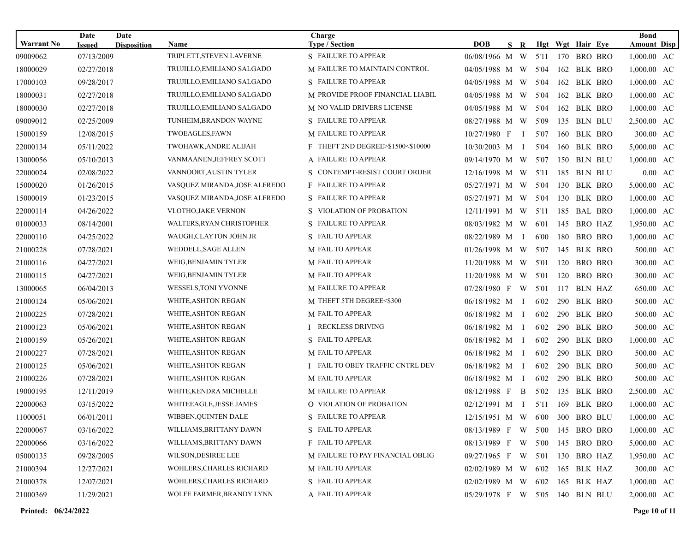| <b>Warrant No</b> | Date<br><b>Issued</b> | Date<br><b>Disposition</b> | Name                          | Charge<br><b>Type / Section</b>         | <b>DOB</b>                      | S R            |      |     | Hgt Wgt Hair Eye |         | <b>Bond</b><br><b>Amount Disp</b> |  |
|-------------------|-----------------------|----------------------------|-------------------------------|-----------------------------------------|---------------------------------|----------------|------|-----|------------------|---------|-----------------------------------|--|
| 09009062          | 07/13/2009            |                            | TRIPLETT, STEVEN LAVERNE      | S FAILURE TO APPEAR                     | 06/08/1966 M W                  |                | 5'11 | 170 | <b>BRO BRO</b>   |         | 1,000.00 AC                       |  |
| 18000029          | 02/27/2018            |                            | TRUJILLO,EMILIANO SALGADO     | M FAILURE TO MAINTAIN CONTROL           | 04/05/1988 M W                  |                | 5'04 | 162 | BLK BRO          |         | 1,000.00 AC                       |  |
| 17000103          | 09/28/2017            |                            | TRUJILLO, EMILIANO SALGADO    | S FAILURE TO APPEAR                     | 04/05/1988 M W                  |                | 5'04 | 162 | BLK BRO          |         | 1,000.00 AC                       |  |
| 18000031          | 02/27/2018            |                            | TRUJILLO, EMILIANO SALGADO    | M PROVIDE PROOF FINANCIAL LIABIL        | 04/05/1988 M W                  |                | 5'04 | 162 | BLK BRO          |         | 1,000.00 AC                       |  |
| 18000030          | 02/27/2018            |                            | TRUJILLO, EMILIANO SALGADO    | M NO VALID DRIVERS LICENSE              | 04/05/1988 M W                  |                | 5'04 |     | 162 BLK BRO      |         | $1,000.00$ AC                     |  |
| 09009012          | 02/25/2009            |                            | TUNHEIM, BRANDON WAYNE        | S FAILURE TO APPEAR                     | 08/27/1988 M W                  |                | 5'09 | 135 | BLN BLU          |         | 2,500.00 AC                       |  |
| 15000159          | 12/08/2015            |                            | TWOEAGLES, FAWN               | <b>M FAILURE TO APPEAR</b>              | 10/27/1980 F                    | $\mathbf{I}$   | 5'07 | 160 | BLK BRO          |         | 300.00 AC                         |  |
| 22000134          | 05/11/2022            |                            | TWOHAWK, ANDRE ALIJAH         | F THEFT 2ND DEGREE>\$1500<\$10000       | 10/30/2003 M                    | $\mathbf{I}$   | 5'04 | 160 |                  | BLK BRO | 5,000.00 AC                       |  |
| 13000056          | 05/10/2013            |                            | VANMAANEN, JEFFREY SCOTT      | A FAILURE TO APPEAR                     | 09/14/1970 M W                  |                | 5'07 |     | 150 BLN BLU      |         | 1,000.00 AC                       |  |
| 22000024          | 02/08/2022            |                            | VANNOORT, AUSTIN TYLER        | S CONTEMPT-RESIST COURT ORDER           | 12/16/1998 M W                  |                | 5'11 | 185 | BLN BLU          |         | $0.00 \text{ AC}$                 |  |
| 15000020          | 01/26/2015            |                            | VASQUEZ MIRANDA, JOSE ALFREDO | <b>F</b> FAILURE TO APPEAR              | 05/27/1971 M W                  |                | 5'04 |     | 130 BLK BRO      |         | 5,000.00 AC                       |  |
| 15000019          | 01/23/2015            |                            | VASQUEZ MIRANDA,JOSE ALFREDO  | S FAILURE TO APPEAR                     | 05/27/1971 M W                  |                | 5'04 | 130 |                  | BLK BRO | $1,000.00$ AC                     |  |
| 22000114          | 04/26/2022            |                            | <b>VLOTHO, JAKE VERNON</b>    | S VIOLATION OF PROBATION                | 12/11/1991 M W 5'11             |                |      |     | 185 BAL BRO      |         | 1,000.00 AC                       |  |
| 01000033          | 08/14/2001            |                            | WALTERS, RYAN CHRISTOPHER     | S FAILURE TO APPEAR                     | 08/03/1982 M W                  |                | 6'01 | 145 | <b>BRO HAZ</b>   |         | 1,950.00 AC                       |  |
| 22000110          | 04/25/2022            |                            | WAUGH,CLAYTON JOHN JR         | S FAIL TO APPEAR                        | 08/22/1989 M                    | $\mathbf{I}$   | 6'00 | 180 | <b>BRO BRO</b>   |         | 1,000.00 AC                       |  |
| 21000228          | 07/28/2021            |                            | WEDDELL, SAGE ALLEN           | M FAIL TO APPEAR                        | 01/26/1998 M W                  |                | 5'07 | 145 |                  | BLK BRO | 500.00 AC                         |  |
| 21000116          | 04/27/2021            |                            | WEIG, BENJAMIN TYLER          | M FAIL TO APPEAR                        | 11/20/1988 M W                  |                | 5'01 | 120 |                  | BRO BRO | 300.00 AC                         |  |
| 21000115          | 04/27/2021            |                            | WEIG, BENJAMIN TYLER          | M FAIL TO APPEAR                        | 11/20/1988 M W                  |                | 5'01 | 120 | <b>BRO BRO</b>   |         | 300.00 AC                         |  |
| 13000065          | 06/04/2013            |                            | WESSELS, TONI YVONNE          | <b>M FAILURE TO APPEAR</b>              | 07/28/1980 F                    | W <sub>\</sub> | 5'01 | 117 |                  | BLN HAZ | 650.00 AC                         |  |
| 21000124          | 05/06/2021            |                            | WHITE, ASHTON REGAN           | M THEFT 5TH DEGREE<\$300                | 06/18/1982 M I                  |                | 6'02 |     | 290 BLK BRO      |         | 500.00 AC                         |  |
| 21000225          | 07/28/2021            |                            | WHITE, ASHTON REGAN           | M FAIL TO APPEAR                        | 06/18/1982 M I                  |                | 6'02 | 290 | BLK BRO          |         | 500.00 AC                         |  |
| 21000123          | 05/06/2021            |                            | WHITE, ASHTON REGAN           | I RECKLESS DRIVING                      | 06/18/1982 M I                  |                | 6'02 | 290 | BLK BRO          |         | 500.00 AC                         |  |
| 21000159          | 05/26/2021            |                            | WHITE, ASHTON REGAN           | S FAIL TO APPEAR                        | $06/18/1982$ M I                |                | 6'02 | 290 |                  | BLK BRO | 1,000.00 AC                       |  |
| 21000227          | 07/28/2021            |                            | WHITE, ASHTON REGAN           | M FAIL TO APPEAR                        | 06/18/1982 M I                  |                | 6'02 |     | 290 BLK BRO      |         | 500.00 AC                         |  |
| 21000125          | 05/06/2021            |                            | WHITE, ASHTON REGAN           | <b>I FAIL TO OBEY TRAFFIC CNTRL DEV</b> | 06/18/1982 M I                  |                | 6'02 | 290 |                  | BLK BRO | 500.00 AC                         |  |
| 21000226          | 07/28/2021            |                            | WHITE, ASHTON REGAN           | M FAIL TO APPEAR                        | 06/18/1982 M I                  |                | 6'02 | 290 | BLK BRO          |         | 500.00 AC                         |  |
| 19000195          | 12/11/2019            |                            | WHITE, KENDRA MICHELLE        | M FAILURE TO APPEAR                     | 08/12/1988 F                    | $\mathbf{B}$   | 5'02 | 135 | BLK BRO          |         | 2,500.00 AC                       |  |
| 22000063          | 03/15/2022            |                            | WHITEEAGLE, JESSE JAMES       | O VIOLATION OF PROBATION                | 02/12/1991 M                    | $\mathbf I$    | 5'11 | 169 | BLK BRO          |         | 1,000.00 AC                       |  |
| 11000051          | 06/01/2011            |                            | <b>WIBBEN.OUINTEN DALE</b>    | S FAILURE TO APPEAR                     | 12/15/1951 M W 6'00 300 BRO BLU |                |      |     |                  |         | 1,000.00 AC                       |  |
| 22000067          | 03/16/2022            |                            | WILLIAMS,BRITTANY DAWN        | S FAIL TO APPEAR                        | 08/13/1989 F W 5'00             |                |      |     | 145 BRO BRO      |         | $1,000.00$ AC                     |  |
| 22000066          | 03/16/2022            |                            | WILLIAMS, BRITTANY DAWN       | F FAIL TO APPEAR                        | 08/13/1989 F W 5'00             |                |      |     | 145 BRO BRO      |         | 5,000.00 AC                       |  |
| 05000135          | 09/28/2005            |                            | WILSON, DESIREE LEE           | M FAILURE TO PAY FINANCIAL OBLIG        | 09/27/1965 F W 5'01             |                |      |     | 130 BRO HAZ      |         | 1,950.00 AC                       |  |
| 21000394          | 12/27/2021            |                            | WOHLERS, CHARLES RICHARD      | M FAIL TO APPEAR                        | 02/02/1989 M W 6'02             |                |      |     | 165 BLK HAZ      |         | 300.00 AC                         |  |
| 21000378          | 12/07/2021            |                            | WOHLERS, CHARLES RICHARD      | S FAIL TO APPEAR                        | 02/02/1989 M W 6'02             |                |      |     | 165 BLK HAZ      |         | 1,000.00 AC                       |  |
| 21000369          | 11/29/2021            |                            | WOLFE FARMER, BRANDY LYNN     | A FAIL TO APPEAR                        | 05/29/1978 F W 5'05             |                |      |     | 140 BLN BLU      |         | 2,000.00 AC                       |  |